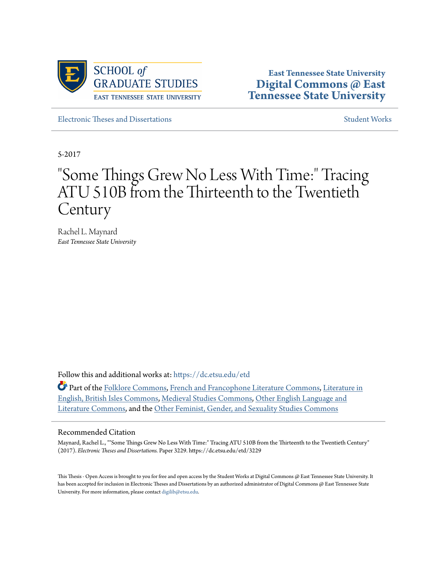

**East Tennessee State University [Digital Commons @ East](https://dc.etsu.edu?utm_source=dc.etsu.edu%2Fetd%2F3229&utm_medium=PDF&utm_campaign=PDFCoverPages) [Tennessee State University](https://dc.etsu.edu?utm_source=dc.etsu.edu%2Fetd%2F3229&utm_medium=PDF&utm_campaign=PDFCoverPages)**

[Electronic Theses and Dissertations](https://dc.etsu.edu/etd?utm_source=dc.etsu.edu%2Fetd%2F3229&utm_medium=PDF&utm_campaign=PDFCoverPages) [Student Works](https://dc.etsu.edu/student-works?utm_source=dc.etsu.edu%2Fetd%2F3229&utm_medium=PDF&utm_campaign=PDFCoverPages) Student Works

5-2017

# "Some Things Grew No Less With Time:" Tracing ATU 510B from the Thirteenth to the Twentieth Century

Rachel L. Maynard *East Tennessee State University*

Follow this and additional works at: [https://dc.etsu.edu/etd](https://dc.etsu.edu/etd?utm_source=dc.etsu.edu%2Fetd%2F3229&utm_medium=PDF&utm_campaign=PDFCoverPages)

Part of the [Folklore Commons](http://network.bepress.com/hgg/discipline/321?utm_source=dc.etsu.edu%2Fetd%2F3229&utm_medium=PDF&utm_campaign=PDFCoverPages), [French and Francophone Literature Commons](http://network.bepress.com/hgg/discipline/465?utm_source=dc.etsu.edu%2Fetd%2F3229&utm_medium=PDF&utm_campaign=PDFCoverPages), [Literature in](http://network.bepress.com/hgg/discipline/456?utm_source=dc.etsu.edu%2Fetd%2F3229&utm_medium=PDF&utm_campaign=PDFCoverPages) [English, British Isles Commons,](http://network.bepress.com/hgg/discipline/456?utm_source=dc.etsu.edu%2Fetd%2F3229&utm_medium=PDF&utm_campaign=PDFCoverPages) [Medieval Studies Commons](http://network.bepress.com/hgg/discipline/480?utm_source=dc.etsu.edu%2Fetd%2F3229&utm_medium=PDF&utm_campaign=PDFCoverPages), [Other English Language and](http://network.bepress.com/hgg/discipline/462?utm_source=dc.etsu.edu%2Fetd%2F3229&utm_medium=PDF&utm_campaign=PDFCoverPages) [Literature Commons,](http://network.bepress.com/hgg/discipline/462?utm_source=dc.etsu.edu%2Fetd%2F3229&utm_medium=PDF&utm_campaign=PDFCoverPages) and the [Other Feminist, Gender, and Sexuality Studies Commons](http://network.bepress.com/hgg/discipline/562?utm_source=dc.etsu.edu%2Fetd%2F3229&utm_medium=PDF&utm_campaign=PDFCoverPages)

#### Recommended Citation

Maynard, Rachel L., ""Some Things Grew No Less With Time:" Tracing ATU 510B from the Thirteenth to the Twentieth Century" (2017). *Electronic Theses and Dissertations.* Paper 3229. https://dc.etsu.edu/etd/3229

This Thesis - Open Access is brought to you for free and open access by the Student Works at Digital Commons @ East Tennessee State University. It has been accepted for inclusion in Electronic Theses and Dissertations by an authorized administrator of Digital Commons @ East Tennessee State University. For more information, please contact [digilib@etsu.edu.](mailto:digilib@etsu.edu)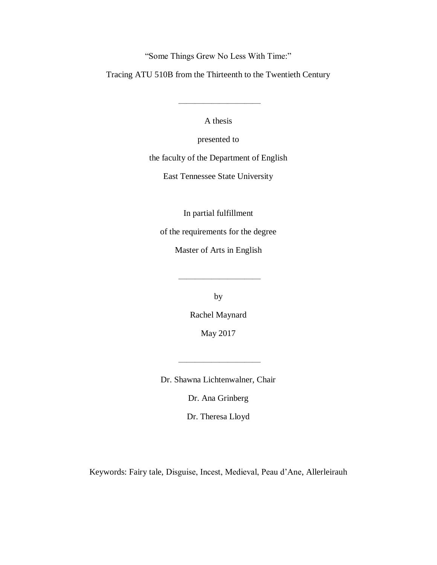"Some Things Grew No Less With Time:"

Tracing ATU 510B from the Thirteenth to the Twentieth Century

A thesis

——————————

presented to

the faculty of the Department of English

East Tennessee State University

In partial fulfillment

of the requirements for the degree

Master of Arts in English

by

——————————

Rachel Maynard

May 2017

Dr. Shawna Lichtenwalner, Chair

——————————

Dr. Ana Grinberg

Dr. Theresa Lloyd

Keywords: Fairy tale, Disguise, Incest, Medieval, Peau d'Ane, Allerleirauh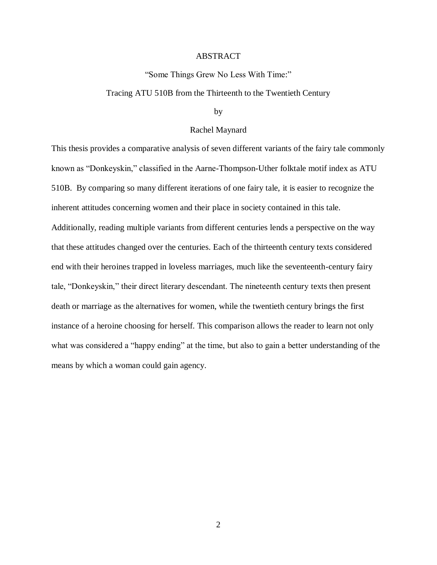#### ABSTRACT

#### "Some Things Grew No Less With Time:"

#### Tracing ATU 510B from the Thirteenth to the Twentieth Century

#### by

#### Rachel Maynard

This thesis provides a comparative analysis of seven different variants of the fairy tale commonly known as "Donkeyskin," classified in the Aarne-Thompson-Uther folktale motif index as ATU 510B. By comparing so many different iterations of one fairy tale, it is easier to recognize the inherent attitudes concerning women and their place in society contained in this tale. Additionally, reading multiple variants from different centuries lends a perspective on the way that these attitudes changed over the centuries. Each of the thirteenth century texts considered end with their heroines trapped in loveless marriages, much like the seventeenth-century fairy tale, "Donkeyskin," their direct literary descendant. The nineteenth century texts then present death or marriage as the alternatives for women, while the twentieth century brings the first instance of a heroine choosing for herself. This comparison allows the reader to learn not only what was considered a "happy ending" at the time, but also to gain a better understanding of the means by which a woman could gain agency.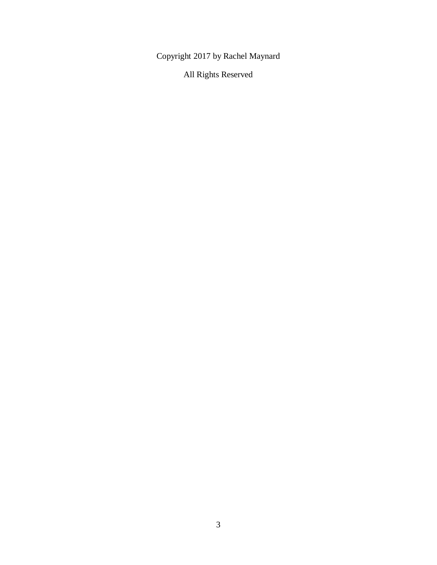Copyright 2017 by Rachel Maynard

All Rights Reserved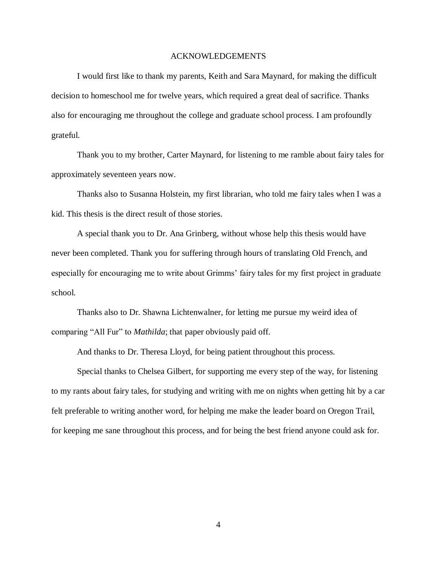#### ACKNOWLEDGEMENTS

I would first like to thank my parents, Keith and Sara Maynard, for making the difficult decision to homeschool me for twelve years, which required a great deal of sacrifice. Thanks also for encouraging me throughout the college and graduate school process. I am profoundly grateful.

Thank you to my brother, Carter Maynard, for listening to me ramble about fairy tales for approximately seventeen years now.

Thanks also to Susanna Holstein, my first librarian, who told me fairy tales when I was a kid. This thesis is the direct result of those stories.

A special thank you to Dr. Ana Grinberg, without whose help this thesis would have never been completed. Thank you for suffering through hours of translating Old French, and especially for encouraging me to write about Grimms' fairy tales for my first project in graduate school.

Thanks also to Dr. Shawna Lichtenwalner, for letting me pursue my weird idea of comparing "All Fur" to *Mathilda*; that paper obviously paid off.

And thanks to Dr. Theresa Lloyd, for being patient throughout this process.

Special thanks to Chelsea Gilbert, for supporting me every step of the way, for listening to my rants about fairy tales, for studying and writing with me on nights when getting hit by a car felt preferable to writing another word, for helping me make the leader board on Oregon Trail, for keeping me sane throughout this process, and for being the best friend anyone could ask for.

4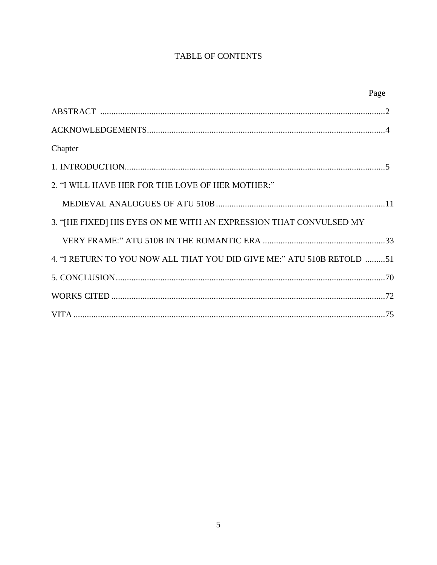## **TABLE OF CONTENTS**

|                                                                       | Page |
|-----------------------------------------------------------------------|------|
|                                                                       |      |
|                                                                       |      |
| Chapter                                                               |      |
|                                                                       |      |
| 2. "I WILL HAVE HER FOR THE LOVE OF HER MOTHER:"                      |      |
|                                                                       |      |
| 3. "[HE FIXED] HIS EYES ON ME WITH AN EXPRESSION THAT CONVULSED MY    |      |
|                                                                       |      |
| 4. "I RETURN TO YOU NOW ALL THAT YOU DID GIVE ME:" ATU 510B RETOLD 51 |      |
|                                                                       |      |
|                                                                       |      |
|                                                                       |      |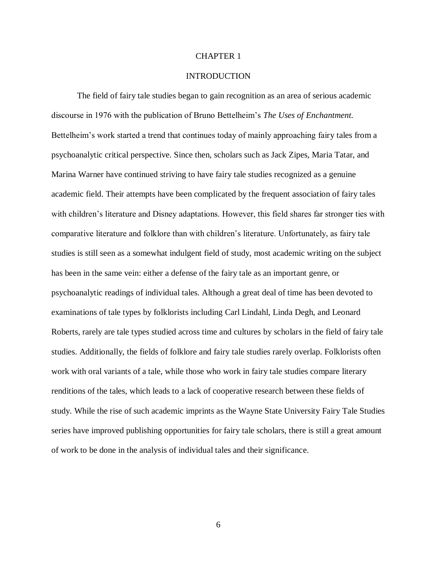#### CHAPTER 1

#### **INTRODUCTION**

The field of fairy tale studies began to gain recognition as an area of serious academic discourse in 1976 with the publication of Bruno Bettelheim's *The Uses of Enchantment*. Bettelheim's work started a trend that continues today of mainly approaching fairy tales from a psychoanalytic critical perspective. Since then, scholars such as Jack Zipes, Maria Tatar, and Marina Warner have continued striving to have fairy tale studies recognized as a genuine academic field. Their attempts have been complicated by the frequent association of fairy tales with children's literature and Disney adaptations. However, this field shares far stronger ties with comparative literature and folklore than with children's literature. Unfortunately, as fairy tale studies is still seen as a somewhat indulgent field of study, most academic writing on the subject has been in the same vein: either a defense of the fairy tale as an important genre, or psychoanalytic readings of individual tales. Although a great deal of time has been devoted to examinations of tale types by folklorists including Carl Lindahl, Linda Degh, and Leonard Roberts, rarely are tale types studied across time and cultures by scholars in the field of fairy tale studies. Additionally, the fields of folklore and fairy tale studies rarely overlap. Folklorists often work with oral variants of a tale, while those who work in fairy tale studies compare literary renditions of the tales, which leads to a lack of cooperative research between these fields of study. While the rise of such academic imprints as the Wayne State University Fairy Tale Studies series have improved publishing opportunities for fairy tale scholars, there is still a great amount of work to be done in the analysis of individual tales and their significance.

6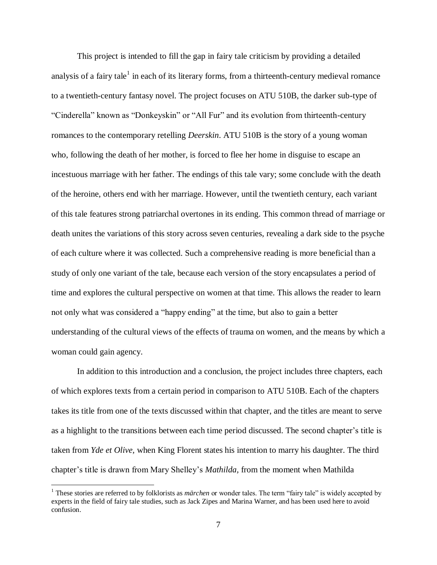This project is intended to fill the gap in fairy tale criticism by providing a detailed analysis of a fairy tale<sup>1</sup> in each of its literary forms, from a thirteenth-century medieval romance to a twentieth-century fantasy novel. The project focuses on ATU 510B, the darker sub-type of "Cinderella" known as "Donkeyskin" or "All Fur" and its evolution from thirteenth-century romances to the contemporary retelling *Deerskin*. ATU 510B is the story of a young woman who, following the death of her mother, is forced to flee her home in disguise to escape an incestuous marriage with her father. The endings of this tale vary; some conclude with the death of the heroine, others end with her marriage. However, until the twentieth century, each variant of this tale features strong patriarchal overtones in its ending. This common thread of marriage or death unites the variations of this story across seven centuries, revealing a dark side to the psyche of each culture where it was collected. Such a comprehensive reading is more beneficial than a study of only one variant of the tale, because each version of the story encapsulates a period of time and explores the cultural perspective on women at that time. This allows the reader to learn not only what was considered a "happy ending" at the time, but also to gain a better understanding of the cultural views of the effects of trauma on women, and the means by which a woman could gain agency.

In addition to this introduction and a conclusion, the project includes three chapters, each of which explores texts from a certain period in comparison to ATU 510B. Each of the chapters takes its title from one of the texts discussed within that chapter, and the titles are meant to serve as a highlight to the transitions between each time period discussed. The second chapter's title is taken from *Yde et Olive,* when King Florent states his intention to marry his daughter. The third chapter's title is drawn from Mary Shelley's *Mathilda,* from the moment when Mathilda

<sup>1</sup> These stories are referred to by folklorists as *märchen* or wonder tales. The term "fairy tale" is widely accepted by experts in the field of fairy tale studies, such as Jack Zipes and Marina Warner, and has been used here to avoid confusion.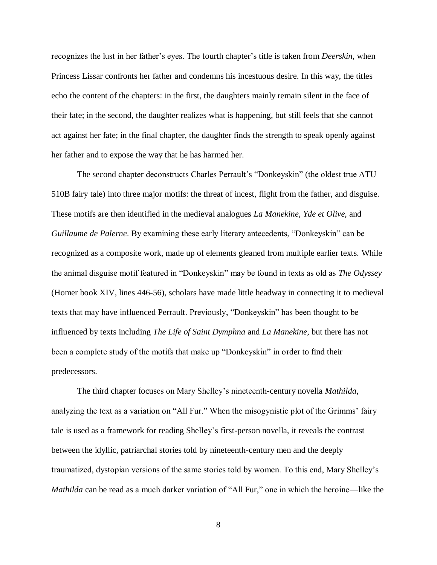recognizes the lust in her father's eyes. The fourth chapter's title is taken from *Deerskin,* when Princess Lissar confronts her father and condemns his incestuous desire. In this way, the titles echo the content of the chapters: in the first, the daughters mainly remain silent in the face of their fate; in the second, the daughter realizes what is happening, but still feels that she cannot act against her fate; in the final chapter, the daughter finds the strength to speak openly against her father and to expose the way that he has harmed her.

The second chapter deconstructs Charles Perrault's "Donkeyskin" (the oldest true ATU 510B fairy tale) into three major motifs: the threat of incest, flight from the father, and disguise. These motifs are then identified in the medieval analogues *La Manekine, Yde et Olive,* and *Guillaume de Palerne*. By examining these early literary antecedents, "Donkeyskin" can be recognized as a composite work, made up of elements gleaned from multiple earlier texts. While the animal disguise motif featured in "Donkeyskin" may be found in texts as old as *The Odyssey*  (Homer book XIV, lines 446-56)*,* scholars have made little headway in connecting it to medieval texts that may have influenced Perrault. Previously, "Donkeyskin" has been thought to be influenced by texts including *The Life of Saint Dymphna* and *La Manekine*, but there has not been a complete study of the motifs that make up "Donkeyskin" in order to find their predecessors.

The third chapter focuses on Mary Shelley's nineteenth-century novella *Mathilda*, analyzing the text as a variation on "All Fur." When the misogynistic plot of the Grimms' fairy tale is used as a framework for reading Shelley's first-person novella, it reveals the contrast between the idyllic, patriarchal stories told by nineteenth-century men and the deeply traumatized, dystopian versions of the same stories told by women. To this end, Mary Shelley's *Mathilda* can be read as a much darker variation of "All Fur," one in which the heroine—like the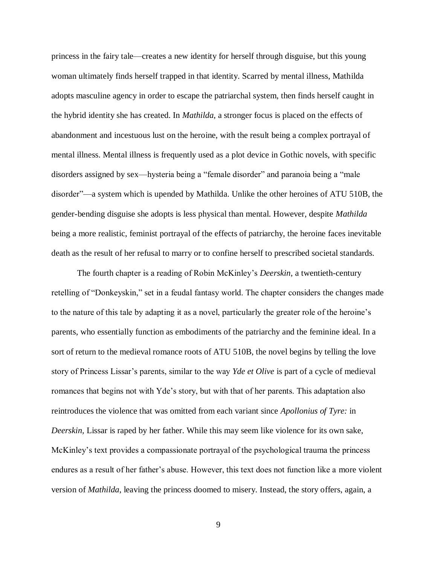princess in the fairy tale—creates a new identity for herself through disguise, but this young woman ultimately finds herself trapped in that identity. Scarred by mental illness, Mathilda adopts masculine agency in order to escape the patriarchal system, then finds herself caught in the hybrid identity she has created. In *Mathilda*, a stronger focus is placed on the effects of abandonment and incestuous lust on the heroine, with the result being a complex portrayal of mental illness. Mental illness is frequently used as a plot device in Gothic novels, with specific disorders assigned by sex—hysteria being a "female disorder" and paranoia being a "male disorder"—a system which is upended by Mathilda. Unlike the other heroines of ATU 510B, the gender-bending disguise she adopts is less physical than mental. However, despite *Mathilda* being a more realistic, feminist portrayal of the effects of patriarchy, the heroine faces inevitable death as the result of her refusal to marry or to confine herself to prescribed societal standards.

The fourth chapter is a reading of Robin McKinley's *Deerskin*, a twentieth-century retelling of "Donkeyskin," set in a feudal fantasy world. The chapter considers the changes made to the nature of this tale by adapting it as a novel, particularly the greater role of the heroine's parents, who essentially function as embodiments of the patriarchy and the feminine ideal. In a sort of return to the medieval romance roots of ATU 510B, the novel begins by telling the love story of Princess Lissar's parents, similar to the way *Yde et Olive* is part of a cycle of medieval romances that begins not with Yde's story, but with that of her parents. This adaptation also reintroduces the violence that was omitted from each variant since *Apollonius of Tyre:* in *Deerskin,* Lissar is raped by her father. While this may seem like violence for its own sake, McKinley's text provides a compassionate portrayal of the psychological trauma the princess endures as a result of her father's abuse. However, this text does not function like a more violent version of *Mathilda*, leaving the princess doomed to misery. Instead, the story offers, again, a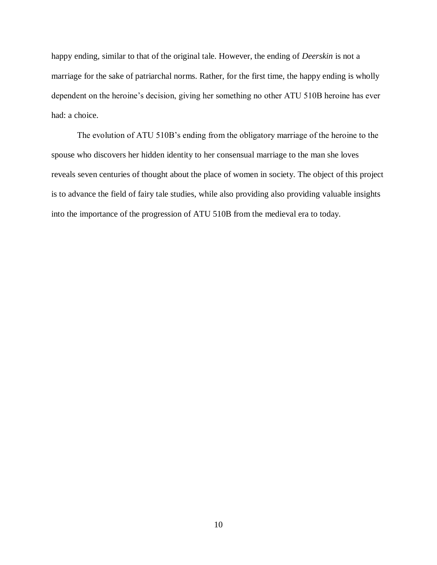happy ending, similar to that of the original tale. However, the ending of *Deerskin* is not a marriage for the sake of patriarchal norms. Rather, for the first time, the happy ending is wholly dependent on the heroine's decision, giving her something no other ATU 510B heroine has ever had: a choice.

The evolution of ATU 510B's ending from the obligatory marriage of the heroine to the spouse who discovers her hidden identity to her consensual marriage to the man she loves reveals seven centuries of thought about the place of women in society. The object of this project is to advance the field of fairy tale studies, while also providing also providing valuable insights into the importance of the progression of ATU 510B from the medieval era to today.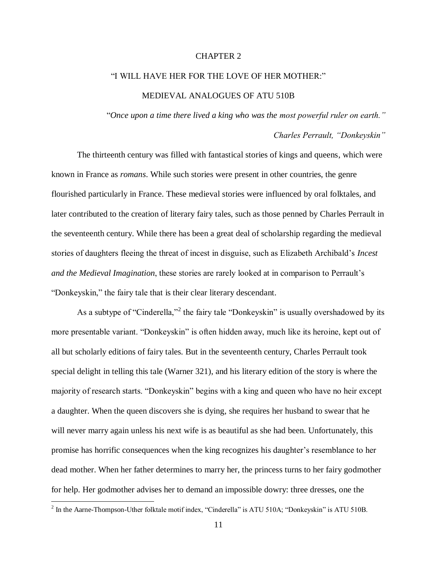#### CHAPTER 2

# "I WILL HAVE HER FOR THE LOVE OF HER MOTHER:" MEDIEVAL ANALOGUES OF ATU 510B

"*Once upon a time there lived a king who was the most powerful ruler on earth."*

### *Charles Perrault, "Donkeyskin"*

The thirteenth century was filled with fantastical stories of kings and queens, which were known in France as *romans*. While such stories were present in other countries, the genre flourished particularly in France. These medieval stories were influenced by oral folktales, and later contributed to the creation of literary fairy tales, such as those penned by Charles Perrault in the seventeenth century. While there has been a great deal of scholarship regarding the medieval stories of daughters fleeing the threat of incest in disguise, such as Elizabeth Archibald's *Incest and the Medieval Imagination*, these stories are rarely looked at in comparison to Perrault's "Donkeyskin," the fairy tale that is their clear literary descendant.

As a subtype of "Cinderella,"<sup>2</sup> the fairy tale "Donkeyskin" is usually overshadowed by its more presentable variant. "Donkeyskin" is often hidden away, much like its heroine, kept out of all but scholarly editions of fairy tales. But in the seventeenth century, Charles Perrault took special delight in telling this tale (Warner 321), and his literary edition of the story is where the majority of research starts. "Donkeyskin" begins with a king and queen who have no heir except a daughter. When the queen discovers she is dying, she requires her husband to swear that he will never marry again unless his next wife is as beautiful as she had been. Unfortunately, this promise has horrific consequences when the king recognizes his daughter's resemblance to her dead mother. When her father determines to marry her, the princess turns to her fairy godmother for help. Her godmother advises her to demand an impossible dowry: three dresses, one the

 $^2$  In the Aarne-Thompson-Uther folktale motif index, "Cinderella" is ATU 510A; "Donkeyskin" is ATU 510B.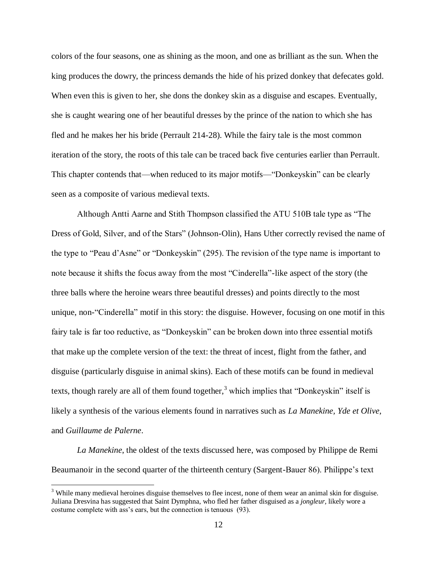colors of the four seasons, one as shining as the moon, and one as brilliant as the sun. When the king produces the dowry, the princess demands the hide of his prized donkey that defecates gold. When even this is given to her, she dons the donkey skin as a disguise and escapes. Eventually, she is caught wearing one of her beautiful dresses by the prince of the nation to which she has fled and he makes her his bride (Perrault 214-28). While the fairy tale is the most common iteration of the story, the roots of this tale can be traced back five centuries earlier than Perrault. This chapter contends that—when reduced to its major motifs—"Donkeyskin" can be clearly seen as a composite of various medieval texts.

Although Antti Aarne and Stith Thompson classified the ATU 510B tale type as "The Dress of Gold, Silver, and of the Stars" (Johnson-Olin), Hans Uther correctly revised the name of the type to "Peau d'Asne" or "Donkeyskin" (295). The revision of the type name is important to note because it shifts the focus away from the most "Cinderella"-like aspect of the story (the three balls where the heroine wears three beautiful dresses) and points directly to the most unique, non-"Cinderella" motif in this story: the disguise. However, focusing on one motif in this fairy tale is far too reductive, as "Donkeyskin" can be broken down into three essential motifs that make up the complete version of the text: the threat of incest, flight from the father, and disguise (particularly disguise in animal skins). Each of these motifs can be found in medieval texts, though rarely are all of them found together,<sup>3</sup> which implies that "Donkeyskin" itself is likely a synthesis of the various elements found in narratives such as *La Manekine, Yde et Olive,*  and *Guillaume de Palerne*.

*La Manekine*, the oldest of the texts discussed here, was composed by Philippe de Remi Beaumanoir in the second quarter of the thirteenth century (Sargent-Bauer 86). Philippe's text

<sup>&</sup>lt;sup>3</sup> While many medieval heroines disguise themselves to flee incest, none of them wear an animal skin for disguise. Juliana Dresvina has suggested that Saint Dymphna, who fled her father disguised as a *jongleur,* likely wore a costume complete with ass's ears, but the connection is tenuous (93).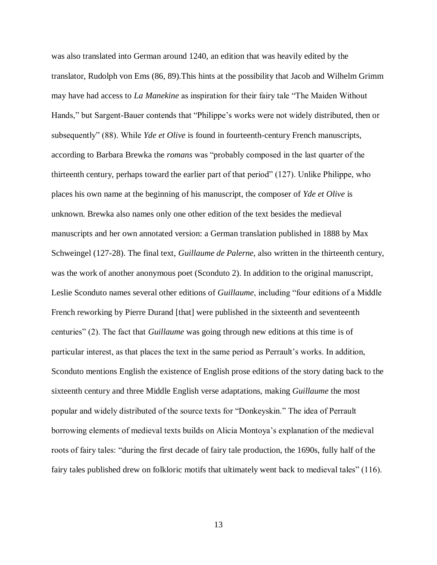was also translated into German around 1240, an edition that was heavily edited by the translator, Rudolph von Ems (86, 89).This hints at the possibility that Jacob and Wilhelm Grimm may have had access to *La Manekine* as inspiration for their fairy tale "The Maiden Without Hands," but Sargent-Bauer contends that "Philippe's works were not widely distributed, then or subsequently" (88). While *Yde et Olive* is found in fourteenth-century French manuscripts, according to Barbara Brewka the *romans* was "probably composed in the last quarter of the thirteenth century, perhaps toward the earlier part of that period" (127). Unlike Philippe, who places his own name at the beginning of his manuscript, the composer of *Yde et Olive* is unknown. Brewka also names only one other edition of the text besides the medieval manuscripts and her own annotated version: a German translation published in 1888 by Max Schweingel (127-28). The final text, *Guillaume de Palerne*, also written in the thirteenth century, was the work of another anonymous poet (Sconduto 2). In addition to the original manuscript, Leslie Sconduto names several other editions of *Guillaume*, including "four editions of a Middle French reworking by Pierre Durand [that] were published in the sixteenth and seventeenth centuries" (2). The fact that *Guillaume* was going through new editions at this time is of particular interest, as that places the text in the same period as Perrault's works. In addition, Sconduto mentions English the existence of English prose editions of the story dating back to the sixteenth century and three Middle English verse adaptations, making *Guillaume* the most popular and widely distributed of the source texts for "Donkeyskin." The idea of Perrault borrowing elements of medieval texts builds on Alicia Montoya's explanation of the medieval roots of fairy tales: "during the first decade of fairy tale production, the 1690s, fully half of the fairy tales published drew on folkloric motifs that ultimately went back to medieval tales" (116).

13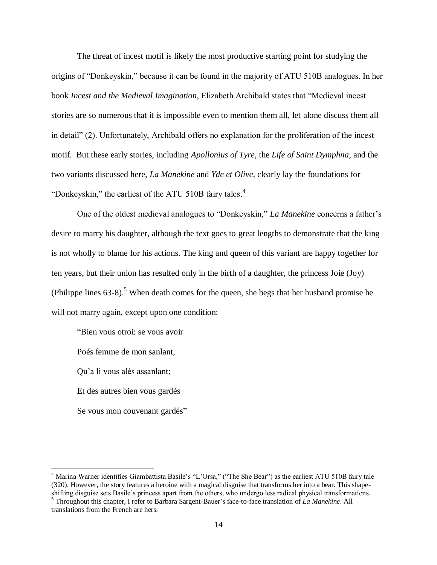The threat of incest motif is likely the most productive starting point for studying the origins of "Donkeyskin," because it can be found in the majority of ATU 510B analogues. In her book *Incest and the Medieval Imagination*, Elizabeth Archibald states that "Medieval incest stories are so numerous that it is impossible even to mention them all, let alone discuss them all in detail" (2). Unfortunately, Archibald offers no explanation for the proliferation of the incest motif. But these early stories, including *Apollonius of Tyre*, the *Life of Saint Dymphna*, and the two variants discussed here, *La Manekine* and *Yde et Olive*, clearly lay the foundations for "Donkeyskin," the earliest of the ATU 510B fairy tales.<sup>4</sup>

One of the oldest medieval analogues to "Donkeyskin," *La Manekine* concerns a father's desire to marry his daughter, although the text goes to great lengths to demonstrate that the king is not wholly to blame for his actions. The king and queen of this variant are happy together for ten years, but their union has resulted only in the birth of a daughter, the princess Joie (Joy) (Philippe lines  $63-8$ ).<sup>5</sup> When death comes for the queen, she begs that her husband promise he will not marry again, except upon one condition:

"Bien vous otroi: se vous avoir Poés femme de mon sanlant, Qu'a li vous alés assanlant; Et des autres bien vous gardés Se vous mon couvenant gardés"

<sup>&</sup>lt;sup>4</sup> Marina Warner identifies Giambattista Basile's "L'Orsa," ("The She Bear") as the earliest ATU 510B fairy tale (320). However, the story features a heroine with a magical disguise that transforms her into a bear. This shapeshifting disguise sets Basile's princess apart from the others, who undergo less radical physical transformations. <sup>5</sup> Throughout this chapter, I refer to Barbara Sargent-Bauer's face-to-face translation of *La Manekine*. All

translations from the French are hers.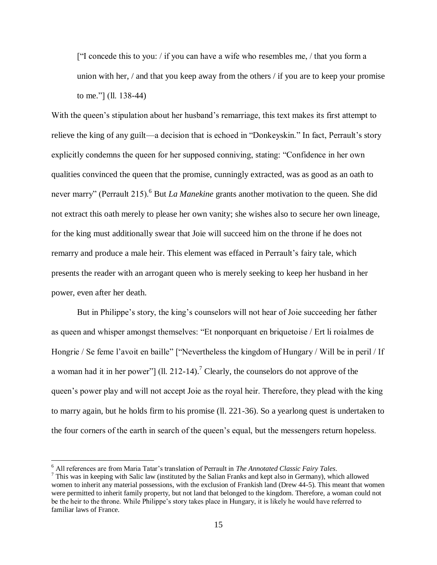["I concede this to you: / if you can have a wife who resembles me, / that you form a union with her, / and that you keep away from the others / if you are to keep your promise to me."] (ll. 138-44)

With the queen's stipulation about her husband's remarriage, this text makes its first attempt to relieve the king of any guilt—a decision that is echoed in "Donkeyskin." In fact, Perrault's story explicitly condemns the queen for her supposed conniving, stating: "Confidence in her own qualities convinced the queen that the promise, cunningly extracted, was as good as an oath to never marry" (Perrault 215).<sup>6</sup> But *La Manekine* grants another motivation to the queen. She did not extract this oath merely to please her own vanity; she wishes also to secure her own lineage, for the king must additionally swear that Joie will succeed him on the throne if he does not remarry and produce a male heir. This element was effaced in Perrault's fairy tale, which presents the reader with an arrogant queen who is merely seeking to keep her husband in her power, even after her death.

But in Philippe's story, the king's counselors will not hear of Joie succeeding her father as queen and whisper amongst themselves: "Et nonporquant en briquetoise / Ert li roialmes de Hongrie / Se feme l'avoit en baille" ["Nevertheless the kingdom of Hungary / Will be in peril / If a woman had it in her power"] (ll. 212-14).<sup>7</sup> Clearly, the counselors do not approve of the queen's power play and will not accept Joie as the royal heir. Therefore, they plead with the king to marry again, but he holds firm to his promise (ll. 221-36). So a yearlong quest is undertaken to the four corners of the earth in search of the queen's equal, but the messengers return hopeless.

<sup>6</sup> All references are from Maria Tatar's translation of Perrault in *The Annotated Classic Fairy Tales*.

 $7$  This was in keeping with Salic law (instituted by the Salian Franks and kept also in Germany), which allowed women to inherit any material possessions, with the exclusion of Frankish land (Drew 44-5). This meant that women were permitted to inherit family property, but not land that belonged to the kingdom. Therefore, a woman could not be the heir to the throne. While Philippe's story takes place in Hungary, it is likely he would have referred to familiar laws of France.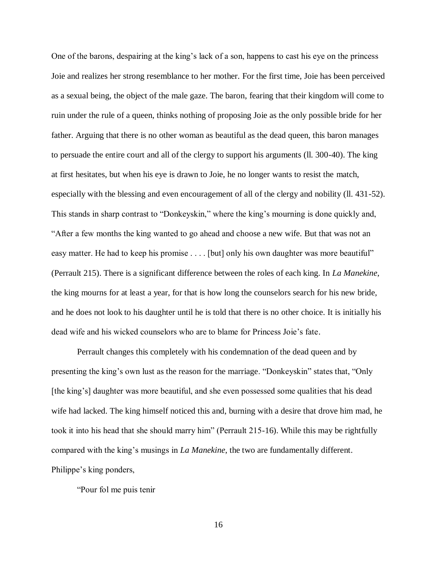One of the barons, despairing at the king's lack of a son, happens to cast his eye on the princess Joie and realizes her strong resemblance to her mother. For the first time, Joie has been perceived as a sexual being, the object of the male gaze. The baron, fearing that their kingdom will come to ruin under the rule of a queen, thinks nothing of proposing Joie as the only possible bride for her father. Arguing that there is no other woman as beautiful as the dead queen, this baron manages to persuade the entire court and all of the clergy to support his arguments (ll. 300-40). The king at first hesitates, but when his eye is drawn to Joie, he no longer wants to resist the match, especially with the blessing and even encouragement of all of the clergy and nobility (ll. 431-52). This stands in sharp contrast to "Donkeyskin," where the king's mourning is done quickly and, "After a few months the king wanted to go ahead and choose a new wife. But that was not an easy matter. He had to keep his promise . . . . [but] only his own daughter was more beautiful" (Perrault 215). There is a significant difference between the roles of each king. In *La Manekine*, the king mourns for at least a year, for that is how long the counselors search for his new bride, and he does not look to his daughter until he is told that there is no other choice. It is initially his dead wife and his wicked counselors who are to blame for Princess Joie's fate.

Perrault changes this completely with his condemnation of the dead queen and by presenting the king's own lust as the reason for the marriage. "Donkeyskin" states that, "Only [the king's] daughter was more beautiful, and she even possessed some qualities that his dead wife had lacked. The king himself noticed this and, burning with a desire that drove him mad, he took it into his head that she should marry him" (Perrault 215-16). While this may be rightfully compared with the king's musings in *La Manekine*, the two are fundamentally different. Philippe's king ponders,

"Pour fol me puis tenir

16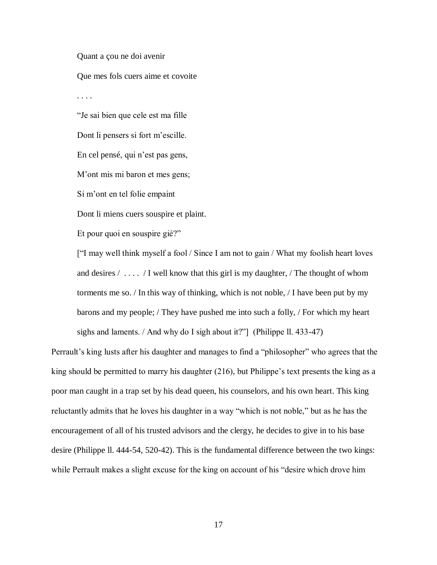Quant a çou ne doi avenir Que mes fols cuers aime et covoite . . . . "Je sai bien que cele est ma fille Dont li pensers si fort m'escille. En cel pensé, qui n'est pas gens, M'ont mis mi baron et mes gens; Si m'ont en tel folie empaint Dont li miens cuers souspire et plaint. Et pour quoi en souspire gié?"

["I may well think myself a fool / Since I am not to gain / What my foolish heart loves and desires  $/ \ldots$  / I well know that this girl is my daughter, / The thought of whom torments me so. / In this way of thinking, which is not noble, / I have been put by my barons and my people; / They have pushed me into such a folly, / For which my heart sighs and laments. / And why do I sigh about it?"] (Philippe ll. 433-47)

Perrault's king lusts after his daughter and manages to find a "philosopher" who agrees that the king should be permitted to marry his daughter (216), but Philippe's text presents the king as a poor man caught in a trap set by his dead queen, his counselors, and his own heart. This king reluctantly admits that he loves his daughter in a way "which is not noble," but as he has the encouragement of all of his trusted advisors and the clergy, he decides to give in to his base desire (Philippe ll. 444-54, 520-42). This is the fundamental difference between the two kings: while Perrault makes a slight excuse for the king on account of his "desire which drove him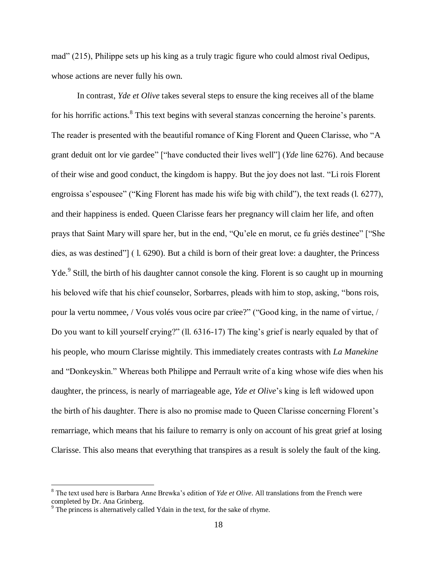mad" (215), Philippe sets up his king as a truly tragic figure who could almost rival Oedipus, whose actions are never fully his own.

In contrast, *Yde et Olive* takes several steps to ensure the king receives all of the blame for his horrific actions.<sup>8</sup> This text begins with several stanzas concerning the heroine's parents. The reader is presented with the beautiful romance of King Florent and Queen Clarisse, who "A grant deduit ont lor vie gardee" ["have conducted their lives well"] (*Yde* line 6276). And because of their wise and good conduct, the kingdom is happy. But the joy does not last. "Li rois Florent engroissa s'espousee" ("King Florent has made his wife big with child"), the text reads (l. 6277), and their happiness is ended. Queen Clarisse fears her pregnancy will claim her life, and often prays that Saint Mary will spare her, but in the end, "Qu'ele en morut, ce fu griés destinee" ["She dies, as was destined"] ( l. 6290). But a child is born of their great love: a daughter, the Princess Yde.<sup>9</sup> Still, the birth of his daughter cannot console the king. Florent is so caught up in mourning his beloved wife that his chief counselor, Sorbarres, pleads with him to stop, asking, "bons rois, pour la vertu nommee, / Vous volés vous ocire par crïee?" ("Good king, in the name of virtue, / Do you want to kill yourself crying?" (ll. 6316-17) The king's grief is nearly equaled by that of his people, who mourn Clarisse mightily. This immediately creates contrasts with *La Manekine*  and "Donkeyskin." Whereas both Philippe and Perrault write of a king whose wife dies when his daughter, the princess, is nearly of marriageable age, *Yde et Olive*'s king is left widowed upon the birth of his daughter. There is also no promise made to Queen Clarisse concerning Florent's remarriage, which means that his failure to remarry is only on account of his great grief at losing Clarisse. This also means that everything that transpires as a result is solely the fault of the king.

<sup>8</sup> The text used here is Barbara Anne Brewka's edition of *Yde et Olive*. All translations from the French were completed by Dr. Ana Grinberg.

<sup>&</sup>lt;sup>9</sup> The princess is alternatively called Ydain in the text, for the sake of rhyme.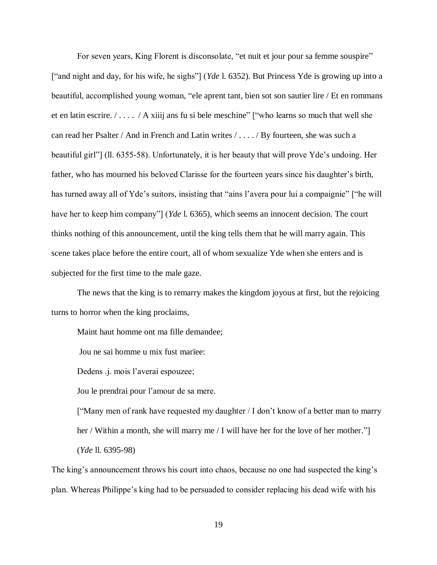For seven years, King Florent is disconsolate, "et nuit et jour pour sa femme souspire" ["and night and day, for his wife, he sighs"] (*Yde* l. 6352). But Princess Yde is growing up into a beautiful, accomplished young woman, "ele aprent tant, bien sot son sautier lire / Et en rommans et en latin escrire.  $/ \ldots$   $/$  A xiiij ans fu si bele meschine" ["who learns so much that well she can read her Psalter / And in French and Latin writes / . . . . / By fourteen, she was such a beautiful girl"] (ll. 6355-58). Unfortunately, it is her beauty that will prove Yde's undoing. Her father, who has mourned his beloved Clarisse for the fourteen years since his daughter's birth, has turned away all of Yde's suitors, insisting that "ains l'avera pour lui a compaignie" ["he will have her to keep him company"] (*Yde* l. 6365), which seems an innocent decision. The court thinks nothing of this announcement, until the king tells them that he will marry again. This scene takes place before the entire court, all of whom sexualize Yde when she enters and is subjected for the first time to the male gaze.

The news that the king is to remarry makes the kingdom joyous at first, but the rejoicing turns to horror when the king proclaims,

Maint haut homme ont ma fille demandee;

Jou ne sai homme u mix fust marïee:

Dedens .j. mois l'averai espouzee;

Jou le prendrai pour l'amour de sa mere.

["Many men of rank have requested my daughter / I don't know of a better man to marry her / Within a month, she will marry me / I will have her for the love of her mother." (*Yde* ll. 6395-98)

The king's announcement throws his court into chaos, because no one had suspected the king's plan. Whereas Philippe's king had to be persuaded to consider replacing his dead wife with his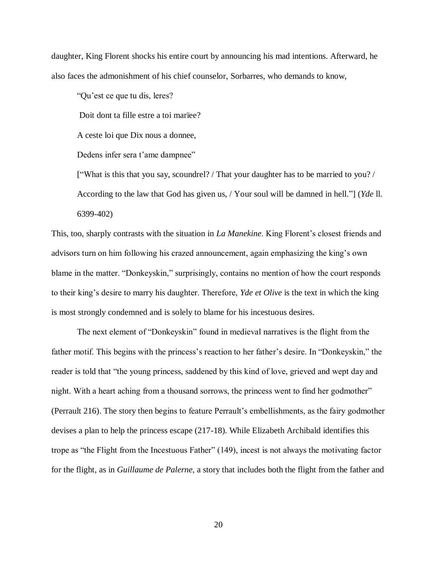daughter, King Florent shocks his entire court by announcing his mad intentions. Afterward, he also faces the admonishment of his chief counselor, Sorbarres, who demands to know,

"Qu'est ce que tu dis, leres?

Doit dont ta fille estre a toi marïee?

A ceste loi que Dix nous a donnee,

Dedens infer sera t'ame dampnee"

["What is this that you say, scoundrel? / That your daughter has to be married to you? / According to the law that God has given us, / Your soul will be damned in hell."] (*Yde* ll. 6399-402)

This, too, sharply contrasts with the situation in *La Manekine*. King Florent's closest friends and advisors turn on him following his crazed announcement, again emphasizing the king's own blame in the matter. "Donkeyskin," surprisingly, contains no mention of how the court responds to their king's desire to marry his daughter. Therefore, *Yde et Olive* is the text in which the king is most strongly condemned and is solely to blame for his incestuous desires.

The next element of "Donkeyskin" found in medieval narratives is the flight from the father motif. This begins with the princess's reaction to her father's desire. In "Donkeyskin," the reader is told that "the young princess, saddened by this kind of love, grieved and wept day and night. With a heart aching from a thousand sorrows, the princess went to find her godmother" (Perrault 216). The story then begins to feature Perrault's embellishments, as the fairy godmother devises a plan to help the princess escape (217-18). While Elizabeth Archibald identifies this trope as "the Flight from the Incestuous Father" (149), incest is not always the motivating factor for the flight, as in *Guillaume de Palerne*, a story that includes both the flight from the father and

20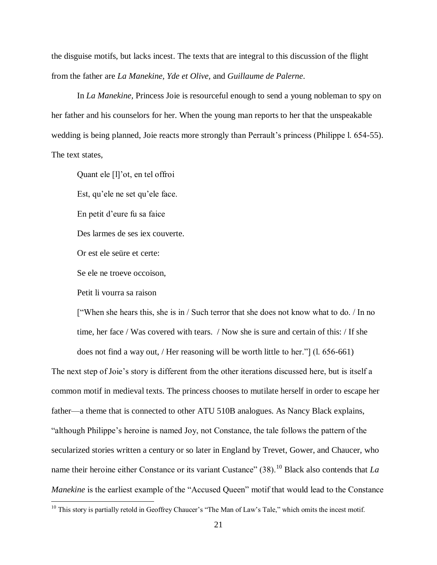the disguise motifs, but lacks incest. The texts that are integral to this discussion of the flight from the father are *La Manekine, Yde et Olive,* and *Guillaume de Palerne*.

In *La Manekine,* Princess Joie is resourceful enough to send a young nobleman to spy on her father and his counselors for her. When the young man reports to her that the unspeakable wedding is being planned, Joie reacts more strongly than Perrault's princess (Philippe l. 654-55). The text states,

Quant ele [l]'ot, en tel offroi Est, qu'ele ne set qu'ele face. En petit d'eure fu sa faice Des larmes de ses iex couverte. Or est ele seüre et certe: Se ele ne troeve occoison, Petit li vourra sa raison

 $\overline{a}$ 

["When she hears this, she is in / Such terror that she does not know what to do. / In no time, her face / Was covered with tears. / Now she is sure and certain of this: / If she does not find a way out, / Her reasoning will be worth little to her."] (l. 656-661)

The next step of Joie's story is different from the other iterations discussed here, but is itself a common motif in medieval texts. The princess chooses to mutilate herself in order to escape her father—a theme that is connected to other ATU 510B analogues. As Nancy Black explains, "although Philippe's heroine is named Joy, not Constance, the tale follows the pattern of the secularized stories written a century or so later in England by Trevet, Gower, and Chaucer, who name their heroine either Constance or its variant Custance" (38).<sup>10</sup> Black also contends that *La Manekine* is the earliest example of the "Accused Queen" motif that would lead to the Constance

 $10$  This story is partially retold in Geoffrey Chaucer's "The Man of Law's Tale," which omits the incest motif.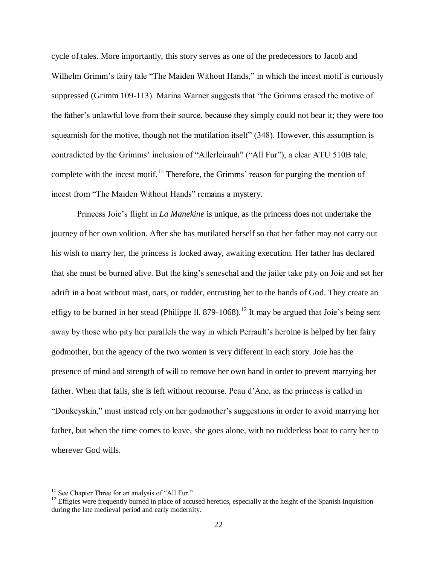cycle of tales. More importantly, this story serves as one of the predecessors to Jacob and Wilhelm Grimm's fairy tale "The Maiden Without Hands," in which the incest motif is curiously suppressed (Grimm 109-113). Marina Warner suggests that "the Grimms erased the motive of the father's unlawful love from their source, because they simply could not bear it; they were too squeamish for the motive, though not the mutilation itself" (348). However, this assumption is contradicted by the Grimms' inclusion of "Allerleirauh" ("All Fur"), a clear ATU 510B tale, complete with the incest motif.<sup>11</sup> Therefore, the Grimms' reason for purging the mention of incest from "The Maiden Without Hands" remains a mystery.

Princess Joie's flight in *La Manekine* is unique, as the princess does not undertake the journey of her own volition. After she has mutilated herself so that her father may not carry out his wish to marry her, the princess is locked away, awaiting execution. Her father has declared that she must be burned alive. But the king's seneschal and the jailer take pity on Joie and set her adrift in a boat without mast, oars, or rudder, entrusting her to the hands of God. They create an effigy to be burned in her stead (Philippe ll. 879-1068).<sup>12</sup> It may be argued that Joie's being sent away by those who pity her parallels the way in which Perrault's heroine is helped by her fairy godmother, but the agency of the two women is very different in each story. Joie has the presence of mind and strength of will to remove her own hand in order to prevent marrying her father. When that fails, she is left without recourse. Peau d'Ane, as the princess is called in "Donkeyskin," must instead rely on her godmother's suggestions in order to avoid marrying her father, but when the time comes to leave, she goes alone, with no rudderless boat to carry her to wherever God wills.

<sup>&</sup>lt;sup>11</sup> See Chapter Three for an analysis of "All Fur."

<sup>&</sup>lt;sup>12</sup> Effigies were frequently burned in place of accused heretics, especially at the height of the Spanish Inquisition during the late medieval period and early modernity.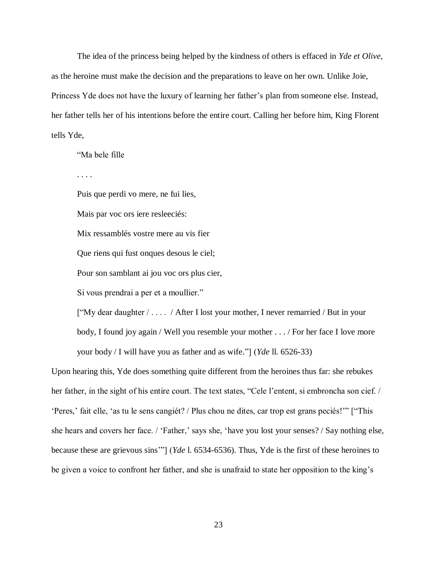The idea of the princess being helped by the kindness of others is effaced in *Yde et Olive,*  as the heroine must make the decision and the preparations to leave on her own. Unlike Joie, Princess Yde does not have the luxury of learning her father's plan from someone else. Instead, her father tells her of his intentions before the entire court. Calling her before him, King Florent tells Yde,

"Ma bele fille

. . . .

Puis que perdi vo mere, ne fui lies,

Mais par voc ors iere resleeciés:

Mix ressamblés vostre mere au vis fier

Que riens qui fust onques desous le ciel;

Pour son samblant ai jou voc ors plus cier,

Si vous prendrai a per et a moullier."

["My dear daughter / . . . . / After I lost your mother, I never remarried / But in your body, I found joy again / Well you resemble your mother . . . / For her face I love more your body / I will have you as father and as wife."] (*Yde* ll. 6526-33)

Upon hearing this, Yde does something quite different from the heroines thus far: she rebukes her father, in the sight of his entire court. The text states, "Cele l'entent, si embroncha son cief. / 'Peres,' fait elle, 'as tu le sens cangiét? / Plus chou ne dites, car trop est grans peciés!'" ["This she hears and covers her face. / 'Father,' says she, 'have you lost your senses? / Say nothing else, because these are grievous sins'"] (*Yde* l. 6534-6536). Thus, Yde is the first of these heroines to be given a voice to confront her father, and she is unafraid to state her opposition to the king's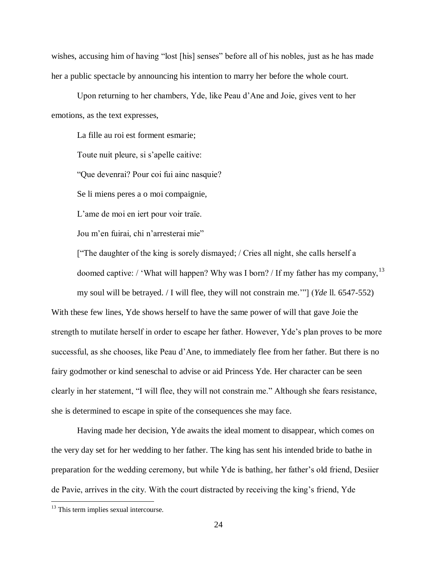wishes, accusing him of having "lost [his] senses" before all of his nobles, just as he has made her a public spectacle by announcing his intention to marry her before the whole court.

Upon returning to her chambers, Yde, like Peau d'Ane and Joie, gives vent to her emotions, as the text expresses,

La fille au roi est forment esmarie; Toute nuit pleure, si s'apelle caitive: "Que devenrai? Pour coi fui ainc nasquie? Se li miens peres a o moi compaignie, L'ame de moi en iert pour voir traïe. Jou m'en fuirai, chi n'arresterai mie"

["The daughter of the king is sorely dismayed; / Cries all night, she calls herself a doomed captive: / 'What will happen? Why was I born? / If my father has my company,  $^{13}$ my soul will be betrayed. / I will flee, they will not constrain me.'"] (*Yde* ll. 6547-552)

With these few lines, Yde shows herself to have the same power of will that gave Joie the strength to mutilate herself in order to escape her father. However, Yde's plan proves to be more successful, as she chooses, like Peau d'Ane, to immediately flee from her father. But there is no fairy godmother or kind seneschal to advise or aid Princess Yde. Her character can be seen clearly in her statement, "I will flee, they will not constrain me." Although she fears resistance, she is determined to escape in spite of the consequences she may face.

Having made her decision, Yde awaits the ideal moment to disappear, which comes on the very day set for her wedding to her father. The king has sent his intended bride to bathe in preparation for the wedding ceremony, but while Yde is bathing, her father's old friend, Desiier de Pavie, arrives in the city. With the court distracted by receiving the king's friend, Yde

<sup>&</sup>lt;sup>13</sup> This term implies sexual intercourse.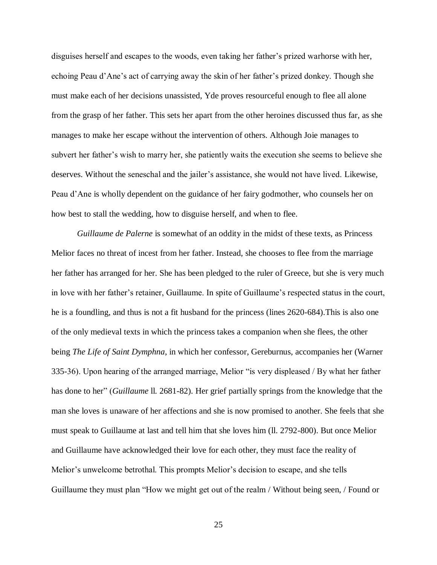disguises herself and escapes to the woods, even taking her father's prized warhorse with her, echoing Peau d'Ane's act of carrying away the skin of her father's prized donkey. Though she must make each of her decisions unassisted, Yde proves resourceful enough to flee all alone from the grasp of her father. This sets her apart from the other heroines discussed thus far, as she manages to make her escape without the intervention of others. Although Joie manages to subvert her father's wish to marry her, she patiently waits the execution she seems to believe she deserves. Without the seneschal and the jailer's assistance, she would not have lived. Likewise, Peau d'Ane is wholly dependent on the guidance of her fairy godmother, who counsels her on how best to stall the wedding, how to disguise herself, and when to flee.

*Guillaume de Palerne* is somewhat of an oddity in the midst of these texts, as Princess Melior faces no threat of incest from her father. Instead, she chooses to flee from the marriage her father has arranged for her. She has been pledged to the ruler of Greece, but she is very much in love with her father's retainer, Guillaume. In spite of Guillaume's respected status in the court, he is a foundling, and thus is not a fit husband for the princess (lines 2620-684).This is also one of the only medieval texts in which the princess takes a companion when she flees, the other being *The Life of Saint Dymphna*, in which her confessor, Gereburnus, accompanies her (Warner 335-36). Upon hearing of the arranged marriage, Melior "is very displeased / By what her father has done to her" (*Guillaume* ll. 2681-82). Her grief partially springs from the knowledge that the man she loves is unaware of her affections and she is now promised to another. She feels that she must speak to Guillaume at last and tell him that she loves him (ll. 2792-800). But once Melior and Guillaume have acknowledged their love for each other, they must face the reality of Melior's unwelcome betrothal. This prompts Melior's decision to escape, and she tells Guillaume they must plan "How we might get out of the realm / Without being seen, / Found or

25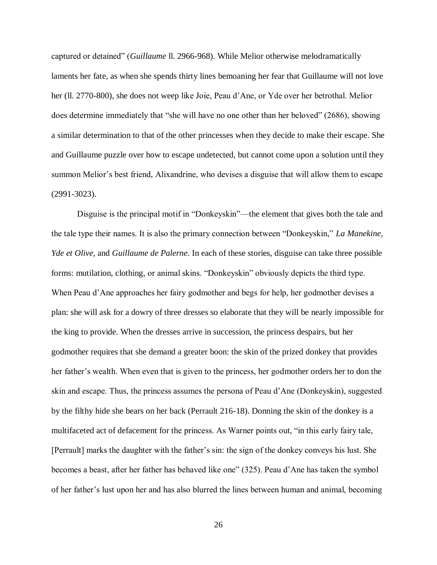captured or detained" (*Guillaume* ll. 2966-968). While Melior otherwise melodramatically laments her fate, as when she spends thirty lines bemoaning her fear that Guillaume will not love her (ll. 2770-800), she does not weep like Joie, Peau d'Ane, or Yde over her betrothal. Melior does determine immediately that "she will have no one other than her beloved" (2686), showing a similar determination to that of the other princesses when they decide to make their escape. She and Guillaume puzzle over how to escape undetected, but cannot come upon a solution until they summon Melior's best friend, Alixandrine, who devises a disguise that will allow them to escape (2991-3023).

Disguise is the principal motif in "Donkeyskin"—the element that gives both the tale and the tale type their names. It is also the primary connection between "Donkeyskin," *La Manekine, Yde et Olive,* and *Guillaume de Palerne*. In each of these stories, disguise can take three possible forms: mutilation, clothing, or animal skins. "Donkeyskin" obviously depicts the third type. When Peau d'Ane approaches her fairy godmother and begs for help, her godmother devises a plan: she will ask for a dowry of three dresses so elaborate that they will be nearly impossible for the king to provide. When the dresses arrive in succession, the princess despairs, but her godmother requires that she demand a greater boon: the skin of the prized donkey that provides her father's wealth. When even that is given to the princess, her godmother orders her to don the skin and escape. Thus, the princess assumes the persona of Peau d'Ane (Donkeyskin), suggested by the filthy hide she bears on her back (Perrault 216-18). Donning the skin of the donkey is a multifaceted act of defacement for the princess. As Warner points out, "in this early fairy tale, [Perrault] marks the daughter with the father's sin: the sign of the donkey conveys his lust. She becomes a beast, after her father has behaved like one" (325). Peau d'Ane has taken the symbol of her father's lust upon her and has also blurred the lines between human and animal, becoming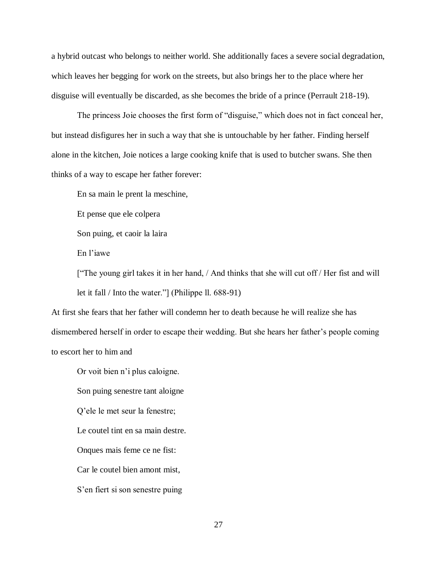a hybrid outcast who belongs to neither world. She additionally faces a severe social degradation, which leaves her begging for work on the streets, but also brings her to the place where her disguise will eventually be discarded, as she becomes the bride of a prince (Perrault 218-19).

The princess Joie chooses the first form of "disguise," which does not in fact conceal her, but instead disfigures her in such a way that she is untouchable by her father. Finding herself alone in the kitchen, Joie notices a large cooking knife that is used to butcher swans. She then thinks of a way to escape her father forever:

En sa main le prent la meschine,

Et pense que ele colpera

Son puing, et caoir la laira

En l'iawe

["The young girl takes it in her hand, / And thinks that she will cut off / Her fist and will let it fall / Into the water."] (Philippe ll. 688-91)

At first she fears that her father will condemn her to death because he will realize she has dismembered herself in order to escape their wedding. But she hears her father's people coming to escort her to him and

Or voit bien n'i plus caloigne.

Son puing senestre tant aloigne

Q'ele le met seur la fenestre;

Le coutel tint en sa main destre.

Onques mais feme ce ne fist:

Car le coutel bien amont mist,

S'en fiert si son senestre puing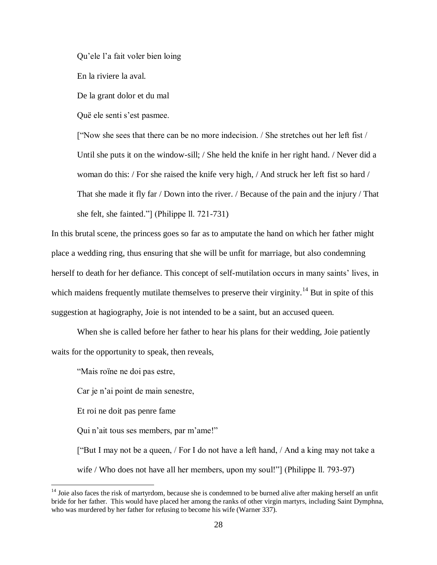Qu'ele l'a fait voler bien loing

En la riviere la aval.

De la grant dolor et du mal

Quë ele senti s'est pasmee.

["Now she sees that there can be no more indecision. / She stretches out her left fist / Until she puts it on the window-sill; / She held the knife in her right hand. / Never did a woman do this: / For she raised the knife very high, / And struck her left fist so hard / That she made it fly far / Down into the river. / Because of the pain and the injury / That she felt, she fainted."] (Philippe ll. 721-731)

In this brutal scene, the princess goes so far as to amputate the hand on which her father might place a wedding ring, thus ensuring that she will be unfit for marriage, but also condemning herself to death for her defiance. This concept of self-mutilation occurs in many saints' lives, in which maidens frequently mutilate themselves to preserve their virginity.<sup>14</sup> But in spite of this suggestion at hagiography, Joie is not intended to be a saint, but an accused queen.

When she is called before her father to hear his plans for their wedding, Joie patiently waits for the opportunity to speak, then reveals,

"Mais roïne ne doi pas estre,

Car je n'ai point de main senestre,

Et roi ne doit pas penre fame

 $\overline{a}$ 

Qui n'ait tous ses members, par m'ame!"

["But I may not be a queen, / For I do not have a left hand, / And a king may not take a wife / Who does not have all her members, upon my soul!"] (Philippe ll. 793-97)

 $14$  Joie also faces the risk of martyrdom, because she is condemned to be burned alive after making herself an unfit bride for her father. This would have placed her among the ranks of other virgin martyrs, including Saint Dymphna, who was murdered by her father for refusing to become his wife (Warner 337).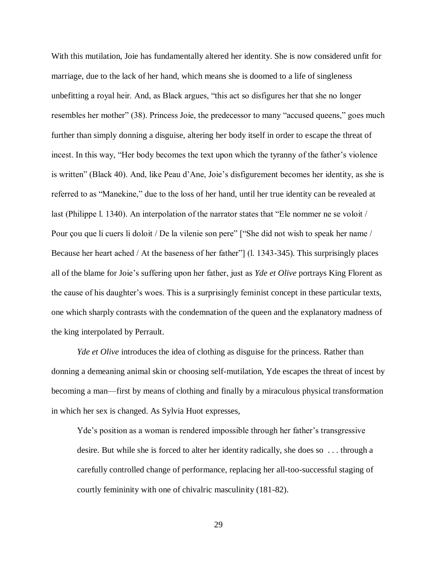With this mutilation, Joie has fundamentally altered her identity. She is now considered unfit for marriage, due to the lack of her hand, which means she is doomed to a life of singleness unbefitting a royal heir. And, as Black argues, "this act so disfigures her that she no longer resembles her mother" (38). Princess Joie, the predecessor to many "accused queens," goes much further than simply donning a disguise, altering her body itself in order to escape the threat of incest. In this way, "Her body becomes the text upon which the tyranny of the father's violence is written" (Black 40). And, like Peau d'Ane, Joie's disfigurement becomes her identity, as she is referred to as "Manekine," due to the loss of her hand, until her true identity can be revealed at last (Philippe l. 1340). An interpolation of the narrator states that "Ele nommer ne se voloit / Pour çou que li cuers li doloit / De la vilenie son pere" ["She did not wish to speak her name / Because her heart ached / At the baseness of her father"] (l. 1343-345). This surprisingly places all of the blame for Joie's suffering upon her father, just as *Yde et Olive* portrays King Florent as the cause of his daughter's woes. This is a surprisingly feminist concept in these particular texts, one which sharply contrasts with the condemnation of the queen and the explanatory madness of the king interpolated by Perrault.

*Yde et Olive* introduces the idea of clothing as disguise for the princess. Rather than donning a demeaning animal skin or choosing self-mutilation, Yde escapes the threat of incest by becoming a man—first by means of clothing and finally by a miraculous physical transformation in which her sex is changed. As Sylvia Huot expresses,

Yde's position as a woman is rendered impossible through her father's transgressive desire. But while she is forced to alter her identity radically, she does so . . . through a carefully controlled change of performance, replacing her all-too-successful staging of courtly femininity with one of chivalric masculinity (181-82).

29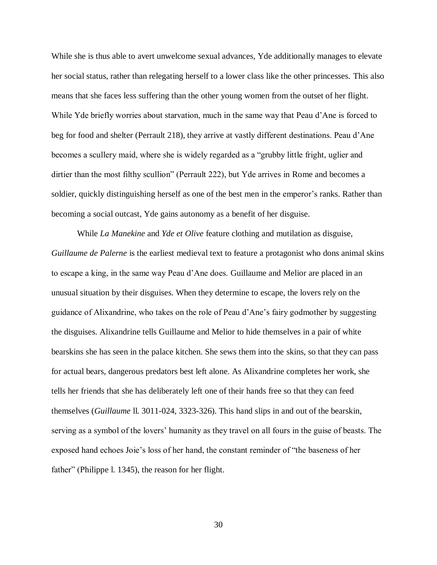While she is thus able to avert unwelcome sexual advances, Yde additionally manages to elevate her social status, rather than relegating herself to a lower class like the other princesses. This also means that she faces less suffering than the other young women from the outset of her flight. While Yde briefly worries about starvation, much in the same way that Peau d'Ane is forced to beg for food and shelter (Perrault 218), they arrive at vastly different destinations. Peau d'Ane becomes a scullery maid, where she is widely regarded as a "grubby little fright, uglier and dirtier than the most filthy scullion" (Perrault 222), but Yde arrives in Rome and becomes a soldier, quickly distinguishing herself as one of the best men in the emperor's ranks. Rather than becoming a social outcast, Yde gains autonomy as a benefit of her disguise.

While *La Manekine* and *Yde et Olive* feature clothing and mutilation as disguise, *Guillaume de Palerne* is the earliest medieval text to feature a protagonist who dons animal skins to escape a king, in the same way Peau d'Ane does. Guillaume and Melior are placed in an unusual situation by their disguises. When they determine to escape, the lovers rely on the guidance of Alixandrine, who takes on the role of Peau d'Ane's fairy godmother by suggesting the disguises. Alixandrine tells Guillaume and Melior to hide themselves in a pair of white bearskins she has seen in the palace kitchen. She sews them into the skins, so that they can pass for actual bears, dangerous predators best left alone. As Alixandrine completes her work, she tells her friends that she has deliberately left one of their hands free so that they can feed themselves (*Guillaume* ll. 3011-024, 3323-326). This hand slips in and out of the bearskin, serving as a symbol of the lovers' humanity as they travel on all fours in the guise of beasts. The exposed hand echoes Joie's loss of her hand, the constant reminder of "the baseness of her father" (Philippe l. 1345), the reason for her flight.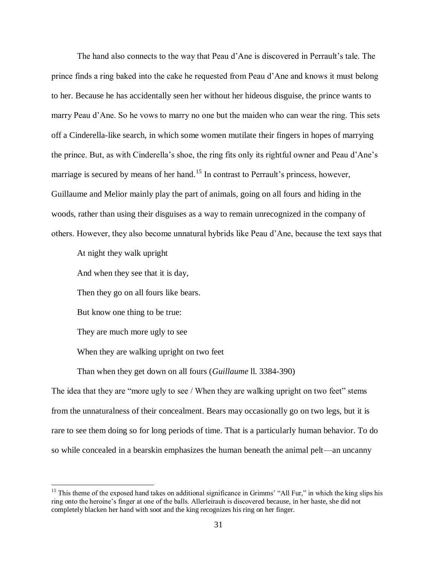The hand also connects to the way that Peau d'Ane is discovered in Perrault's tale. The prince finds a ring baked into the cake he requested from Peau d'Ane and knows it must belong to her. Because he has accidentally seen her without her hideous disguise, the prince wants to marry Peau d'Ane. So he vows to marry no one but the maiden who can wear the ring. This sets off a Cinderella-like search, in which some women mutilate their fingers in hopes of marrying the prince. But, as with Cinderella's shoe, the ring fits only its rightful owner and Peau d'Ane's marriage is secured by means of her hand.<sup>15</sup> In contrast to Perrault's princess, however, Guillaume and Melior mainly play the part of animals, going on all fours and hiding in the woods, rather than using their disguises as a way to remain unrecognized in the company of others. However, they also become unnatural hybrids like Peau d'Ane, because the text says that

At night they walk upright

And when they see that it is day,

Then they go on all fours like bears.

But know one thing to be true:

They are much more ugly to see

 $\overline{a}$ 

When they are walking upright on two feet

Than when they get down on all fours (*Guillaume* ll. 3384-390)

The idea that they are "more ugly to see / When they are walking upright on two feet" stems from the unnaturalness of their concealment. Bears may occasionally go on two legs, but it is rare to see them doing so for long periods of time. That is a particularly human behavior. To do so while concealed in a bearskin emphasizes the human beneath the animal pelt—an uncanny

<sup>&</sup>lt;sup>15</sup> This theme of the exposed hand takes on additional significance in Grimms' "All Fur," in which the king slips his ring onto the heroine's finger at one of the balls. Allerleirauh is discovered because, in her haste, she did not completely blacken her hand with soot and the king recognizes his ring on her finger.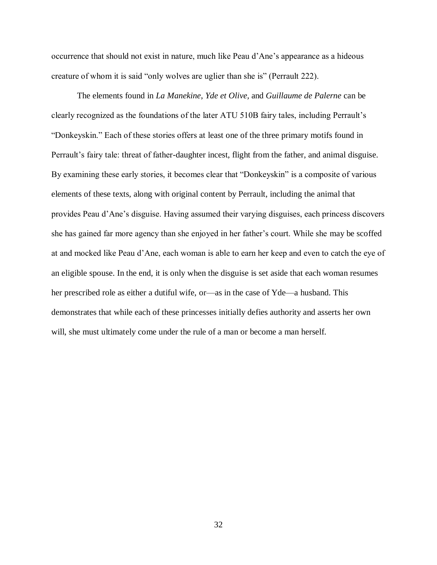occurrence that should not exist in nature, much like Peau d'Ane's appearance as a hideous creature of whom it is said "only wolves are uglier than she is" (Perrault 222).

The elements found in *La Manekine*, *Yde et Olive,* and *Guillaume de Palerne* can be clearly recognized as the foundations of the later ATU 510B fairy tales, including Perrault's "Donkeyskin." Each of these stories offers at least one of the three primary motifs found in Perrault's fairy tale: threat of father-daughter incest, flight from the father, and animal disguise. By examining these early stories, it becomes clear that "Donkeyskin" is a composite of various elements of these texts, along with original content by Perrault, including the animal that provides Peau d'Ane's disguise. Having assumed their varying disguises, each princess discovers she has gained far more agency than she enjoyed in her father's court. While she may be scoffed at and mocked like Peau d'Ane, each woman is able to earn her keep and even to catch the eye of an eligible spouse. In the end, it is only when the disguise is set aside that each woman resumes her prescribed role as either a dutiful wife, or—as in the case of Yde—a husband. This demonstrates that while each of these princesses initially defies authority and asserts her own will, she must ultimately come under the rule of a man or become a man herself.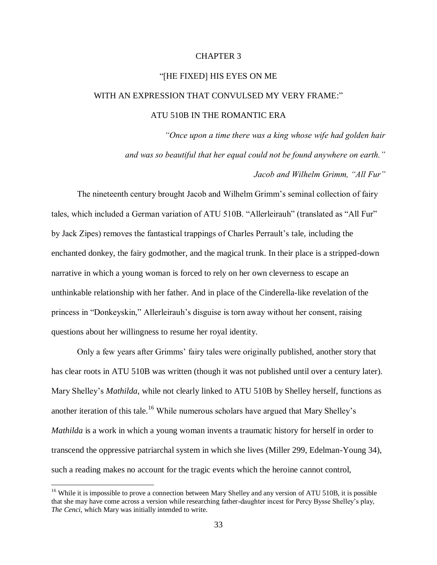#### CHAPTER 3

#### "[HE FIXED] HIS EYES ON ME

# WITH AN EXPRESSION THAT CONVULSED MY VERY FRAME:"

### ATU 510B IN THE ROMANTIC ERA

*"Once upon a time there was a king whose wife had golden hair and was so beautiful that her equal could not be found anywhere on earth."* 

*Jacob and Wilhelm Grimm, "All Fur"*

The nineteenth century brought Jacob and Wilhelm Grimm's seminal collection of fairy tales, which included a German variation of ATU 510B. "Allerleirauh" (translated as "All Fur" by Jack Zipes) removes the fantastical trappings of Charles Perrault's tale, including the enchanted donkey, the fairy godmother, and the magical trunk. In their place is a stripped-down narrative in which a young woman is forced to rely on her own cleverness to escape an unthinkable relationship with her father. And in place of the Cinderella-like revelation of the princess in "Donkeyskin," Allerleirauh's disguise is torn away without her consent, raising questions about her willingness to resume her royal identity.

Only a few years after Grimms' fairy tales were originally published, another story that has clear roots in ATU 510B was written (though it was not published until over a century later). Mary Shelley's *Mathilda*, while not clearly linked to ATU 510B by Shelley herself, functions as another iteration of this tale.<sup>16</sup> While numerous scholars have argued that Mary Shelley's *Mathilda* is a work in which a young woman invents a traumatic history for herself in order to transcend the oppressive patriarchal system in which she lives (Miller 299, Edelman-Young 34), such a reading makes no account for the tragic events which the heroine cannot control,

<sup>&</sup>lt;sup>16</sup> While it is impossible to prove a connection between Mary Shelley and any version of ATU 510B, it is possible that she may have come across a version while researching father-daughter incest for Percy Bysse Shelley's play, *The Cenci*, which Mary was initially intended to write.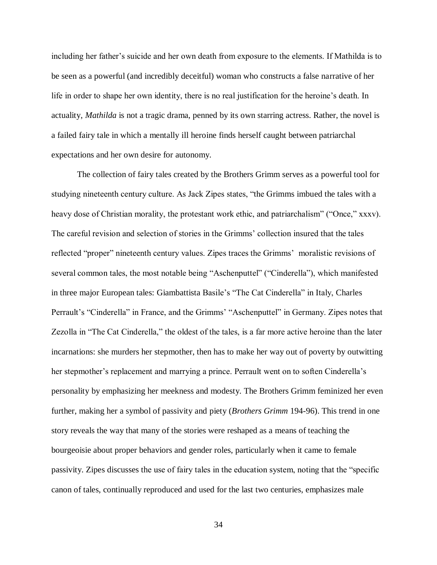including her father's suicide and her own death from exposure to the elements. If Mathilda is to be seen as a powerful (and incredibly deceitful) woman who constructs a false narrative of her life in order to shape her own identity, there is no real justification for the heroine's death. In actuality, *Mathilda* is not a tragic drama, penned by its own starring actress. Rather, the novel is a failed fairy tale in which a mentally ill heroine finds herself caught between patriarchal expectations and her own desire for autonomy.

The collection of fairy tales created by the Brothers Grimm serves as a powerful tool for studying nineteenth century culture. As Jack Zipes states, "the Grimms imbued the tales with a heavy dose of Christian morality, the protestant work ethic, and patriarchalism" ("Once," xxxv). The careful revision and selection of stories in the Grimms' collection insured that the tales reflected "proper" nineteenth century values. Zipes traces the Grimms' moralistic revisions of several common tales, the most notable being "Aschenputtel" ("Cinderella"), which manifested in three major European tales: Giambattista Basile's "The Cat Cinderella" in Italy, Charles Perrault's "Cinderella" in France, and the Grimms' "Aschenputtel" in Germany. Zipes notes that Zezolla in "The Cat Cinderella," the oldest of the tales, is a far more active heroine than the later incarnations: she murders her stepmother, then has to make her way out of poverty by outwitting her stepmother's replacement and marrying a prince. Perrault went on to soften Cinderella's personality by emphasizing her meekness and modesty. The Brothers Grimm feminized her even further, making her a symbol of passivity and piety (*Brothers Grimm* 194-96). This trend in one story reveals the way that many of the stories were reshaped as a means of teaching the bourgeoisie about proper behaviors and gender roles, particularly when it came to female passivity. Zipes discusses the use of fairy tales in the education system, noting that the "specific canon of tales, continually reproduced and used for the last two centuries, emphasizes male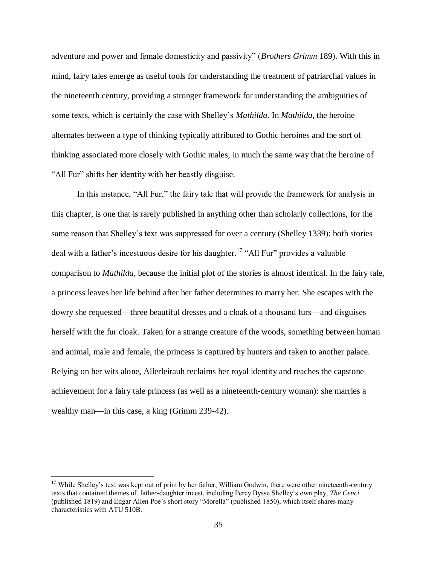adventure and power and female domesticity and passivity" (*Brothers Grimm* 189). With this in mind, fairy tales emerge as useful tools for understanding the treatment of patriarchal values in the nineteenth century, providing a stronger framework for understanding the ambiguities of some texts, which is certainly the case with Shelley's *Mathilda*. In *Mathilda*, the heroine alternates between a type of thinking typically attributed to Gothic heroines and the sort of thinking associated more closely with Gothic males, in much the same way that the heroine of "All Fur" shifts her identity with her beastly disguise.

In this instance, "All Fur," the fairy tale that will provide the framework for analysis in this chapter, is one that is rarely published in anything other than scholarly collections, for the same reason that Shelley's text was suppressed for over a century (Shelley 1339): both stories deal with a father's incestuous desire for his daughter.<sup>17</sup> "All Fur" provides a valuable comparison to *Mathilda*, because the initial plot of the stories is almost identical. In the fairy tale, a princess leaves her life behind after her father determines to marry her. She escapes with the dowry she requested—three beautiful dresses and a cloak of a thousand furs—and disguises herself with the fur cloak. Taken for a strange creature of the woods, something between human and animal, male and female, the princess is captured by hunters and taken to another palace. Relying on her wits alone, Allerleirauh reclaims her royal identity and reaches the capstone achievement for a fairy tale princess (as well as a nineteenth-century woman): she marries a wealthy man—in this case, a king (Grimm 239-42).

 $17$  While Shelley's text was kept out of print by her father, William Godwin, there were other nineteenth-century texts that contained themes of father-daughter incest, including Percy Bysse Shelley's own play, *The Cenci* (published 1819) and Edgar Allen Poe's short story "Morella" (published 1850), which itself shares many characteristics with ATU 510B.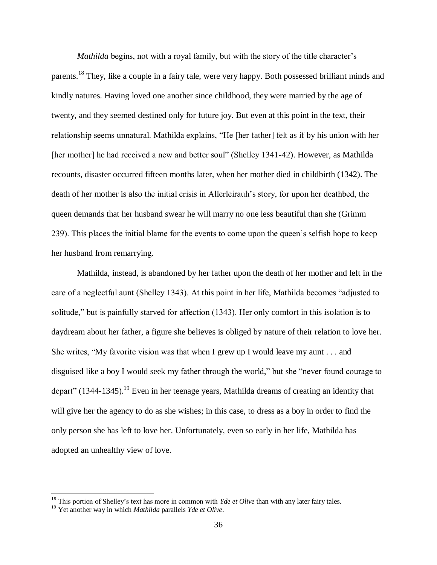*Mathilda* begins, not with a royal family, but with the story of the title character's parents.<sup>18</sup> They, like a couple in a fairy tale, were very happy. Both possessed brilliant minds and kindly natures. Having loved one another since childhood, they were married by the age of twenty, and they seemed destined only for future joy. But even at this point in the text, their relationship seems unnatural. Mathilda explains, "He [her father] felt as if by his union with her [her mother] he had received a new and better soul" (Shelley 1341-42). However, as Mathilda recounts, disaster occurred fifteen months later, when her mother died in childbirth (1342). The death of her mother is also the initial crisis in Allerleirauh's story, for upon her deathbed, the queen demands that her husband swear he will marry no one less beautiful than she (Grimm 239). This places the initial blame for the events to come upon the queen's selfish hope to keep her husband from remarrying.

Mathilda, instead, is abandoned by her father upon the death of her mother and left in the care of a neglectful aunt (Shelley 1343). At this point in her life, Mathilda becomes "adjusted to solitude," but is painfully starved for affection (1343). Her only comfort in this isolation is to daydream about her father, a figure she believes is obliged by nature of their relation to love her. She writes, "My favorite vision was that when I grew up I would leave my aunt . . . and disguised like a boy I would seek my father through the world," but she "never found courage to depart" (1344-1345).<sup>19</sup> Even in her teenage years, Mathilda dreams of creating an identity that will give her the agency to do as she wishes; in this case, to dress as a boy in order to find the only person she has left to love her. Unfortunately, even so early in her life, Mathilda has adopted an unhealthy view of love.

<sup>&</sup>lt;sup>18</sup> This portion of Shelley's text has more in common with *Yde et Olive* than with any later fairy tales.

<sup>19</sup> Yet another way in which *Mathilda* parallels *Yde et Olive*.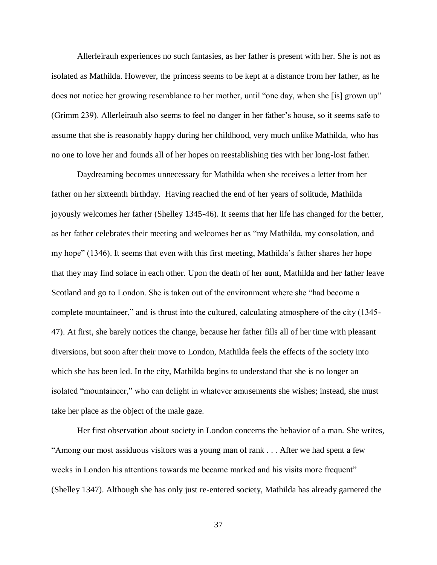Allerleirauh experiences no such fantasies, as her father is present with her. She is not as isolated as Mathilda. However, the princess seems to be kept at a distance from her father, as he does not notice her growing resemblance to her mother, until "one day, when she [is] grown up" (Grimm 239). Allerleirauh also seems to feel no danger in her father's house, so it seems safe to assume that she is reasonably happy during her childhood, very much unlike Mathilda, who has no one to love her and founds all of her hopes on reestablishing ties with her long-lost father.

Daydreaming becomes unnecessary for Mathilda when she receives a letter from her father on her sixteenth birthday. Having reached the end of her years of solitude, Mathilda joyously welcomes her father (Shelley 1345-46). It seems that her life has changed for the better, as her father celebrates their meeting and welcomes her as "my Mathilda, my consolation, and my hope" (1346). It seems that even with this first meeting, Mathilda's father shares her hope that they may find solace in each other. Upon the death of her aunt, Mathilda and her father leave Scotland and go to London. She is taken out of the environment where she "had become a complete mountaineer," and is thrust into the cultured, calculating atmosphere of the city (1345- 47). At first, she barely notices the change, because her father fills all of her time with pleasant diversions, but soon after their move to London, Mathilda feels the effects of the society into which she has been led. In the city, Mathilda begins to understand that she is no longer an isolated "mountaineer," who can delight in whatever amusements she wishes; instead, she must take her place as the object of the male gaze.

Her first observation about society in London concerns the behavior of a man. She writes, "Among our most assiduous visitors was a young man of rank . . . After we had spent a few weeks in London his attentions towards me became marked and his visits more frequent" (Shelley 1347). Although she has only just re-entered society, Mathilda has already garnered the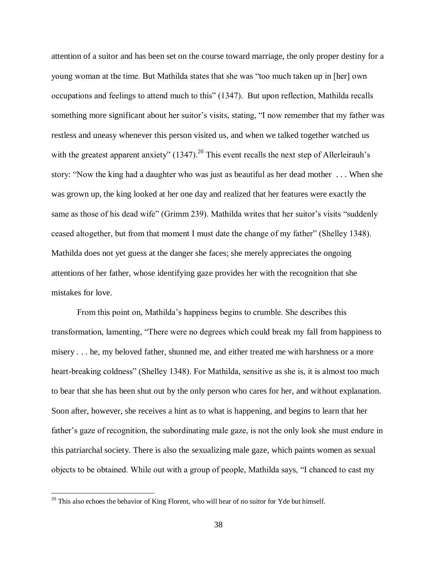attention of a suitor and has been set on the course toward marriage, the only proper destiny for a young woman at the time. But Mathilda states that she was "too much taken up in [her] own occupations and feelings to attend much to this" (1347). But upon reflection, Mathilda recalls something more significant about her suitor's visits, stating, "I now remember that my father was restless and uneasy whenever this person visited us, and when we talked together watched us with the greatest apparent anxiety"  $(1347)$ .<sup>20</sup> This event recalls the next step of Allerleirauh's story: "Now the king had a daughter who was just as beautiful as her dead mother . . . When she was grown up, the king looked at her one day and realized that her features were exactly the same as those of his dead wife" (Grimm 239). Mathilda writes that her suitor's visits "suddenly ceased altogether, but from that moment I must date the change of my father" (Shelley 1348). Mathilda does not yet guess at the danger she faces; she merely appreciates the ongoing attentions of her father, whose identifying gaze provides her with the recognition that she mistakes for love.

From this point on, Mathilda's happiness begins to crumble. She describes this transformation, lamenting, "There were no degrees which could break my fall from happiness to misery . . . he, my beloved father, shunned me, and either treated me with harshness or a more heart-breaking coldness" (Shelley 1348). For Mathilda, sensitive as she is, it is almost too much to bear that she has been shut out by the only person who cares for her, and without explanation. Soon after, however, she receives a hint as to what is happening, and begins to learn that her father's gaze of recognition, the subordinating male gaze, is not the only look she must endure in this patriarchal society. There is also the sexualizing male gaze, which paints women as sexual objects to be obtained. While out with a group of people, Mathilda says, "I chanced to cast my

 $20$  This also echoes the behavior of King Florent, who will hear of no suitor for Yde but himself.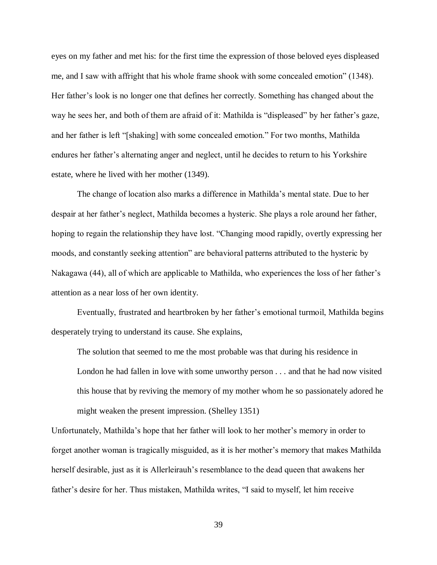eyes on my father and met his: for the first time the expression of those beloved eyes displeased me, and I saw with affright that his whole frame shook with some concealed emotion" (1348). Her father's look is no longer one that defines her correctly. Something has changed about the way he sees her, and both of them are afraid of it: Mathilda is "displeased" by her father's gaze, and her father is left "[shaking] with some concealed emotion." For two months, Mathilda endures her father's alternating anger and neglect, until he decides to return to his Yorkshire estate, where he lived with her mother (1349).

The change of location also marks a difference in Mathilda's mental state. Due to her despair at her father's neglect, Mathilda becomes a hysteric. She plays a role around her father, hoping to regain the relationship they have lost. "Changing mood rapidly, overtly expressing her moods, and constantly seeking attention" are behavioral patterns attributed to the hysteric by Nakagawa (44), all of which are applicable to Mathilda, who experiences the loss of her father's attention as a near loss of her own identity.

Eventually, frustrated and heartbroken by her father's emotional turmoil, Mathilda begins desperately trying to understand its cause. She explains,

The solution that seemed to me the most probable was that during his residence in London he had fallen in love with some unworthy person . . . and that he had now visited this house that by reviving the memory of my mother whom he so passionately adored he might weaken the present impression. (Shelley 1351)

Unfortunately, Mathilda's hope that her father will look to her mother's memory in order to forget another woman is tragically misguided, as it is her mother's memory that makes Mathilda herself desirable, just as it is Allerleirauh's resemblance to the dead queen that awakens her father's desire for her. Thus mistaken, Mathilda writes, "I said to myself, let him receive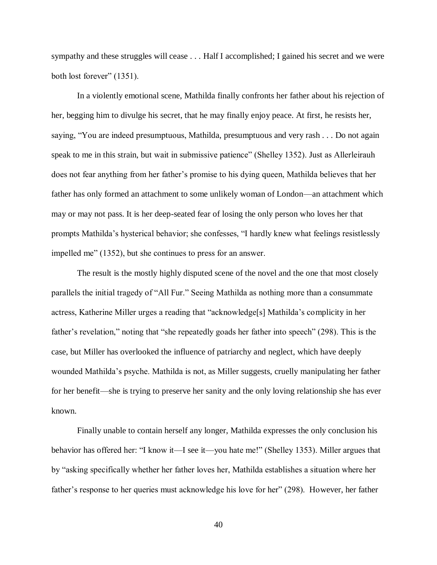sympathy and these struggles will cease . . . Half I accomplished; I gained his secret and we were both lost forever" (1351).

In a violently emotional scene, Mathilda finally confronts her father about his rejection of her, begging him to divulge his secret, that he may finally enjoy peace. At first, he resists her, saying, "You are indeed presumptuous, Mathilda, presumptuous and very rash . . . Do not again speak to me in this strain, but wait in submissive patience" (Shelley 1352). Just as Allerleirauh does not fear anything from her father's promise to his dying queen, Mathilda believes that her father has only formed an attachment to some unlikely woman of London—an attachment which may or may not pass. It is her deep-seated fear of losing the only person who loves her that prompts Mathilda's hysterical behavior; she confesses, "I hardly knew what feelings resistlessly impelled me" (1352), but she continues to press for an answer.

The result is the mostly highly disputed scene of the novel and the one that most closely parallels the initial tragedy of "All Fur." Seeing Mathilda as nothing more than a consummate actress, Katherine Miller urges a reading that "acknowledge[s] Mathilda's complicity in her father's revelation," noting that "she repeatedly goads her father into speech" (298). This is the case, but Miller has overlooked the influence of patriarchy and neglect, which have deeply wounded Mathilda's psyche. Mathilda is not, as Miller suggests, cruelly manipulating her father for her benefit—she is trying to preserve her sanity and the only loving relationship she has ever known.

Finally unable to contain herself any longer, Mathilda expresses the only conclusion his behavior has offered her: "I know it—I see it—you hate me!" (Shelley 1353). Miller argues that by "asking specifically whether her father loves her, Mathilda establishes a situation where her father's response to her queries must acknowledge his love for her" (298). However, her father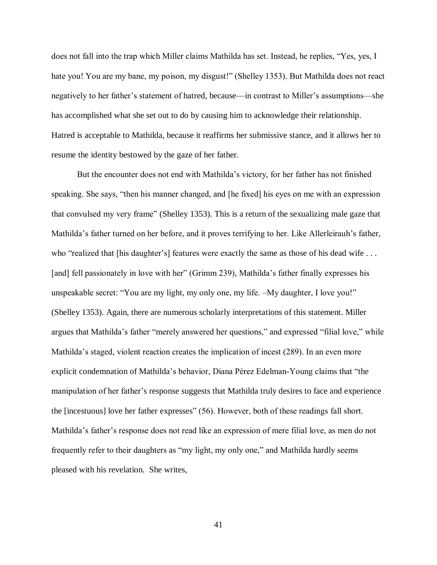does not fall into the trap which Miller claims Mathilda has set. Instead, he replies, "Yes, yes, I hate you! You are my bane, my poison, my disgust!" (Shelley 1353). But Mathilda does not react negatively to her father's statement of hatred, because—in contrast to Miller's assumptions—she has accomplished what she set out to do by causing him to acknowledge their relationship. Hatred is acceptable to Mathilda, because it reaffirms her submissive stance, and it allows her to resume the identity bestowed by the gaze of her father.

But the encounter does not end with Mathilda's victory, for her father has not finished speaking. She says, "then his manner changed, and [he fixed] his eyes on me with an expression that convulsed my very frame" (Shelley 1353). This is a return of the sexualizing male gaze that Mathilda's father turned on her before, and it proves terrifying to her. Like Allerleirauh's father, who "realized that [his daughter's] features were exactly the same as those of his dead wife . . . [and] fell passionately in love with her" (Grimm 239), Mathilda's father finally expresses his unspeakable secret: "You are my light, my only one, my life. –My daughter, I love you!" (Shelley 1353). Again, there are numerous scholarly interpretations of this statement. Miller argues that Mathilda's father "merely answered her questions," and expressed "filial love," while Mathilda's staged, violent reaction creates the implication of incest (289). In an even more explicit condemnation of Mathilda's behavior, Diana Pérez Edelman-Young claims that "the manipulation of her father's response suggests that Mathilda truly desires to face and experience the [incestuous] love her father expresses" (56). However, both of these readings fall short. Mathilda's father's response does not read like an expression of mere filial love, as men do not frequently refer to their daughters as "my light, my only one," and Mathilda hardly seems pleased with his revelation. She writes,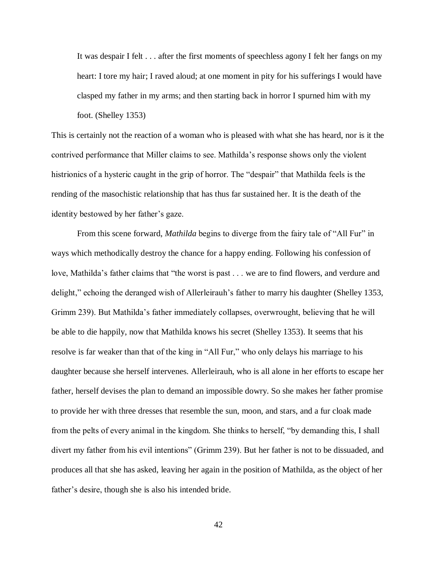It was despair I felt . . . after the first moments of speechless agony I felt her fangs on my heart: I tore my hair; I raved aloud; at one moment in pity for his sufferings I would have clasped my father in my arms; and then starting back in horror I spurned him with my foot. (Shelley 1353)

This is certainly not the reaction of a woman who is pleased with what she has heard, nor is it the contrived performance that Miller claims to see. Mathilda's response shows only the violent histrionics of a hysteric caught in the grip of horror. The "despair" that Mathilda feels is the rending of the masochistic relationship that has thus far sustained her. It is the death of the identity bestowed by her father's gaze.

From this scene forward, *Mathilda* begins to diverge from the fairy tale of "All Fur" in ways which methodically destroy the chance for a happy ending. Following his confession of love, Mathilda's father claims that "the worst is past . . . we are to find flowers, and verdure and delight," echoing the deranged wish of Allerleirauh's father to marry his daughter (Shelley 1353, Grimm 239). But Mathilda's father immediately collapses, overwrought, believing that he will be able to die happily, now that Mathilda knows his secret (Shelley 1353). It seems that his resolve is far weaker than that of the king in "All Fur," who only delays his marriage to his daughter because she herself intervenes. Allerleirauh, who is all alone in her efforts to escape her father, herself devises the plan to demand an impossible dowry. So she makes her father promise to provide her with three dresses that resemble the sun, moon, and stars, and a fur cloak made from the pelts of every animal in the kingdom. She thinks to herself, "by demanding this, I shall divert my father from his evil intentions" (Grimm 239). But her father is not to be dissuaded, and produces all that she has asked, leaving her again in the position of Mathilda, as the object of her father's desire, though she is also his intended bride.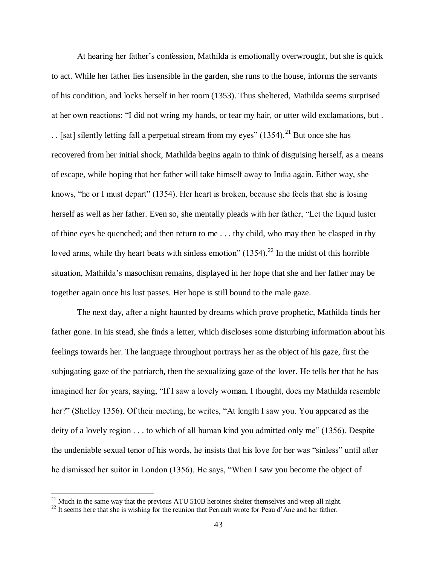At hearing her father's confession, Mathilda is emotionally overwrought, but she is quick to act. While her father lies insensible in the garden, she runs to the house, informs the servants of his condition, and locks herself in her room (1353). Thus sheltered, Mathilda seems surprised at her own reactions: "I did not wring my hands, or tear my hair, or utter wild exclamations, but . . . [sat] silently letting fall a perpetual stream from my eyes"  $(1354)$ <sup>21</sup> But once she has recovered from her initial shock, Mathilda begins again to think of disguising herself, as a means of escape, while hoping that her father will take himself away to India again. Either way, she knows, "he or I must depart" (1354). Her heart is broken, because she feels that she is losing herself as well as her father. Even so, she mentally pleads with her father, "Let the liquid luster of thine eyes be quenched; and then return to me . . . thy child, who may then be clasped in thy loved arms, while thy heart beats with sinless emotion"  $(1354)$ .<sup>22</sup> In the midst of this horrible situation, Mathilda's masochism remains, displayed in her hope that she and her father may be together again once his lust passes. Her hope is still bound to the male gaze.

The next day, after a night haunted by dreams which prove prophetic, Mathilda finds her father gone. In his stead, she finds a letter, which discloses some disturbing information about his feelings towards her. The language throughout portrays her as the object of his gaze, first the subjugating gaze of the patriarch, then the sexualizing gaze of the lover. He tells her that he has imagined her for years, saying, "If I saw a lovely woman, I thought, does my Mathilda resemble her?" (Shelley 1356). Of their meeting, he writes, "At length I saw you. You appeared as the deity of a lovely region . . . to which of all human kind you admitted only me" (1356). Despite the undeniable sexual tenor of his words, he insists that his love for her was "sinless" until after he dismissed her suitor in London (1356). He says, "When I saw you become the object of

 $21$  Much in the same way that the previous ATU 510B heroines shelter themselves and weep all night.

<sup>&</sup>lt;sup>22</sup> It seems here that she is wishing for the reunion that Perrault wrote for Peau d'Ane and her father.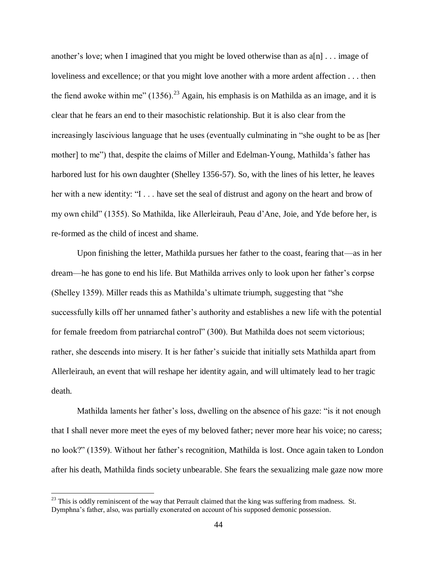another's love; when I imagined that you might be loved otherwise than as  $a[n]$ ... image of loveliness and excellence; or that you might love another with a more ardent affection . . . then the fiend awoke within me"  $(1356)^{23}$  Again, his emphasis is on Mathilda as an image, and it is clear that he fears an end to their masochistic relationship. But it is also clear from the increasingly lascivious language that he uses (eventually culminating in "she ought to be as [her mother] to me") that, despite the claims of Miller and Edelman-Young, Mathilda's father has harbored lust for his own daughter (Shelley 1356-57). So, with the lines of his letter, he leaves her with a new identity: "I . . . have set the seal of distrust and agony on the heart and brow of my own child" (1355). So Mathilda, like Allerleirauh, Peau d'Ane, Joie, and Yde before her, is re-formed as the child of incest and shame.

Upon finishing the letter, Mathilda pursues her father to the coast, fearing that—as in her dream—he has gone to end his life. But Mathilda arrives only to look upon her father's corpse (Shelley 1359). Miller reads this as Mathilda's ultimate triumph, suggesting that "she successfully kills off her unnamed father's authority and establishes a new life with the potential for female freedom from patriarchal control" (300). But Mathilda does not seem victorious; rather, she descends into misery. It is her father's suicide that initially sets Mathilda apart from Allerleirauh, an event that will reshape her identity again, and will ultimately lead to her tragic death.

Mathilda laments her father's loss, dwelling on the absence of his gaze: "is it not enough that I shall never more meet the eyes of my beloved father; never more hear his voice; no caress; no look?" (1359). Without her father's recognition, Mathilda is lost. Once again taken to London after his death, Mathilda finds society unbearable. She fears the sexualizing male gaze now more

 $^{23}$  This is oddly reminiscent of the way that Perrault claimed that the king was suffering from madness. St. Dymphna's father, also, was partially exonerated on account of his supposed demonic possession.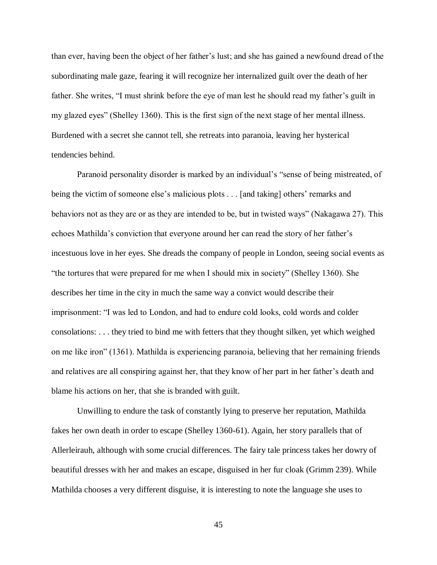than ever, having been the object of her father's lust; and she has gained a newfound dread of the subordinating male gaze, fearing it will recognize her internalized guilt over the death of her father. She writes, "I must shrink before the eye of man lest he should read my father's guilt in my glazed eyes" (Shelley 1360). This is the first sign of the next stage of her mental illness. Burdened with a secret she cannot tell, she retreats into paranoia, leaving her hysterical tendencies behind.

Paranoid personality disorder is marked by an individual's "sense of being mistreated, of being the victim of someone else's malicious plots . . . [and taking] others' remarks and behaviors not as they are or as they are intended to be, but in twisted ways" (Nakagawa 27). This echoes Mathilda's conviction that everyone around her can read the story of her father's incestuous love in her eyes. She dreads the company of people in London, seeing social events as "the tortures that were prepared for me when I should mix in society" (Shelley 1360). She describes her time in the city in much the same way a convict would describe their imprisonment: "I was led to London, and had to endure cold looks, cold words and colder consolations: . . . they tried to bind me with fetters that they thought silken, yet which weighed on me like iron" (1361). Mathilda is experiencing paranoia, believing that her remaining friends and relatives are all conspiring against her, that they know of her part in her father's death and blame his actions on her, that she is branded with guilt.

Unwilling to endure the task of constantly lying to preserve her reputation, Mathilda fakes her own death in order to escape (Shelley 1360-61). Again, her story parallels that of Allerleirauh, although with some crucial differences. The fairy tale princess takes her dowry of beautiful dresses with her and makes an escape, disguised in her fur cloak (Grimm 239). While Mathilda chooses a very different disguise, it is interesting to note the language she uses to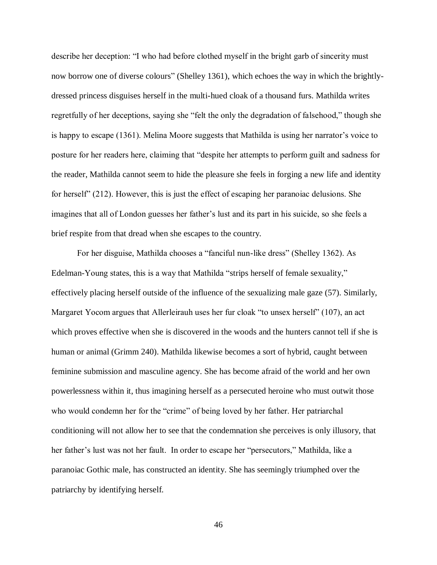describe her deception: "I who had before clothed myself in the bright garb of sincerity must now borrow one of diverse colours" (Shelley 1361), which echoes the way in which the brightlydressed princess disguises herself in the multi-hued cloak of a thousand furs. Mathilda writes regretfully of her deceptions, saying she "felt the only the degradation of falsehood," though she is happy to escape (1361). Melina Moore suggests that Mathilda is using her narrator's voice to posture for her readers here, claiming that "despite her attempts to perform guilt and sadness for the reader, Mathilda cannot seem to hide the pleasure she feels in forging a new life and identity for herself" (212). However, this is just the effect of escaping her paranoiac delusions. She imagines that all of London guesses her father's lust and its part in his suicide, so she feels a brief respite from that dread when she escapes to the country.

For her disguise, Mathilda chooses a "fanciful nun-like dress" (Shelley 1362). As Edelman-Young states, this is a way that Mathilda "strips herself of female sexuality," effectively placing herself outside of the influence of the sexualizing male gaze (57). Similarly, Margaret Yocom argues that Allerleirauh uses her fur cloak "to unsex herself" (107), an act which proves effective when she is discovered in the woods and the hunters cannot tell if she is human or animal (Grimm 240). Mathilda likewise becomes a sort of hybrid, caught between feminine submission and masculine agency. She has become afraid of the world and her own powerlessness within it, thus imagining herself as a persecuted heroine who must outwit those who would condemn her for the "crime" of being loved by her father. Her patriarchal conditioning will not allow her to see that the condemnation she perceives is only illusory, that her father's lust was not her fault. In order to escape her "persecutors," Mathilda, like a paranoiac Gothic male, has constructed an identity. She has seemingly triumphed over the patriarchy by identifying herself.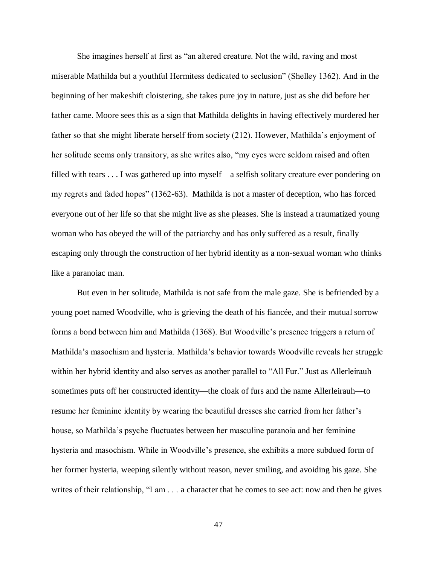She imagines herself at first as "an altered creature. Not the wild, raving and most miserable Mathilda but a youthful Hermitess dedicated to seclusion" (Shelley 1362). And in the beginning of her makeshift cloistering, she takes pure joy in nature, just as she did before her father came. Moore sees this as a sign that Mathilda delights in having effectively murdered her father so that she might liberate herself from society (212). However, Mathilda's enjoyment of her solitude seems only transitory, as she writes also, "my eyes were seldom raised and often filled with tears . . . I was gathered up into myself—a selfish solitary creature ever pondering on my regrets and faded hopes" (1362-63). Mathilda is not a master of deception, who has forced everyone out of her life so that she might live as she pleases. She is instead a traumatized young woman who has obeyed the will of the patriarchy and has only suffered as a result, finally escaping only through the construction of her hybrid identity as a non-sexual woman who thinks like a paranoiac man.

But even in her solitude, Mathilda is not safe from the male gaze. She is befriended by a young poet named Woodville, who is grieving the death of his fiancée, and their mutual sorrow forms a bond between him and Mathilda (1368). But Woodville's presence triggers a return of Mathilda's masochism and hysteria. Mathilda's behavior towards Woodville reveals her struggle within her hybrid identity and also serves as another parallel to "All Fur." Just as Allerleirauh sometimes puts off her constructed identity—the cloak of furs and the name Allerleirauh—to resume her feminine identity by wearing the beautiful dresses she carried from her father's house, so Mathilda's psyche fluctuates between her masculine paranoia and her feminine hysteria and masochism. While in Woodville's presence, she exhibits a more subdued form of her former hysteria, weeping silently without reason, never smiling, and avoiding his gaze. She writes of their relationship, "I am . . . a character that he comes to see act: now and then he gives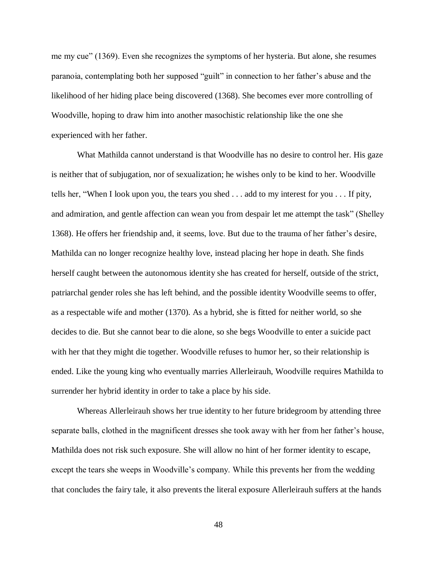me my cue" (1369). Even she recognizes the symptoms of her hysteria. But alone, she resumes paranoia, contemplating both her supposed "guilt" in connection to her father's abuse and the likelihood of her hiding place being discovered (1368). She becomes ever more controlling of Woodville, hoping to draw him into another masochistic relationship like the one she experienced with her father.

What Mathilda cannot understand is that Woodville has no desire to control her. His gaze is neither that of subjugation, nor of sexualization; he wishes only to be kind to her. Woodville tells her, "When I look upon you, the tears you shed . . . add to my interest for you . . . If pity, and admiration, and gentle affection can wean you from despair let me attempt the task" (Shelley 1368). He offers her friendship and, it seems, love. But due to the trauma of her father's desire, Mathilda can no longer recognize healthy love, instead placing her hope in death. She finds herself caught between the autonomous identity she has created for herself, outside of the strict, patriarchal gender roles she has left behind, and the possible identity Woodville seems to offer, as a respectable wife and mother (1370). As a hybrid, she is fitted for neither world, so she decides to die. But she cannot bear to die alone, so she begs Woodville to enter a suicide pact with her that they might die together. Woodville refuses to humor her, so their relationship is ended. Like the young king who eventually marries Allerleirauh, Woodville requires Mathilda to surrender her hybrid identity in order to take a place by his side.

Whereas Allerleirauh shows her true identity to her future bridegroom by attending three separate balls, clothed in the magnificent dresses she took away with her from her father's house, Mathilda does not risk such exposure. She will allow no hint of her former identity to escape, except the tears she weeps in Woodville's company. While this prevents her from the wedding that concludes the fairy tale, it also prevents the literal exposure Allerleirauh suffers at the hands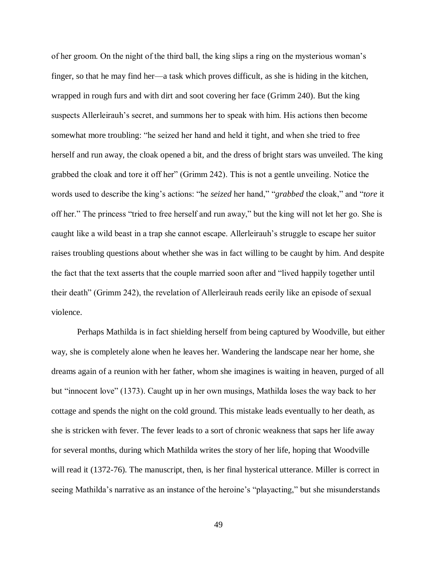of her groom. On the night of the third ball, the king slips a ring on the mysterious woman's finger, so that he may find her—a task which proves difficult, as she is hiding in the kitchen, wrapped in rough furs and with dirt and soot covering her face (Grimm 240). But the king suspects Allerleirauh's secret, and summons her to speak with him. His actions then become somewhat more troubling: "he seized her hand and held it tight, and when she tried to free herself and run away, the cloak opened a bit, and the dress of bright stars was unveiled. The king grabbed the cloak and tore it off her" (Grimm 242). This is not a gentle unveiling. Notice the words used to describe the king's actions: "he *seized* her hand," "*grabbed* the cloak," and "*tore* it off her." The princess "tried to free herself and run away," but the king will not let her go. She is caught like a wild beast in a trap she cannot escape. Allerleirauh's struggle to escape her suitor raises troubling questions about whether she was in fact willing to be caught by him. And despite the fact that the text asserts that the couple married soon after and "lived happily together until their death" (Grimm 242), the revelation of Allerleirauh reads eerily like an episode of sexual violence.

Perhaps Mathilda is in fact shielding herself from being captured by Woodville, but either way, she is completely alone when he leaves her. Wandering the landscape near her home, she dreams again of a reunion with her father, whom she imagines is waiting in heaven, purged of all but "innocent love" (1373). Caught up in her own musings, Mathilda loses the way back to her cottage and spends the night on the cold ground. This mistake leads eventually to her death, as she is stricken with fever. The fever leads to a sort of chronic weakness that saps her life away for several months, during which Mathilda writes the story of her life, hoping that Woodville will read it (1372-76). The manuscript, then, is her final hysterical utterance. Miller is correct in seeing Mathilda's narrative as an instance of the heroine's "playacting," but she misunderstands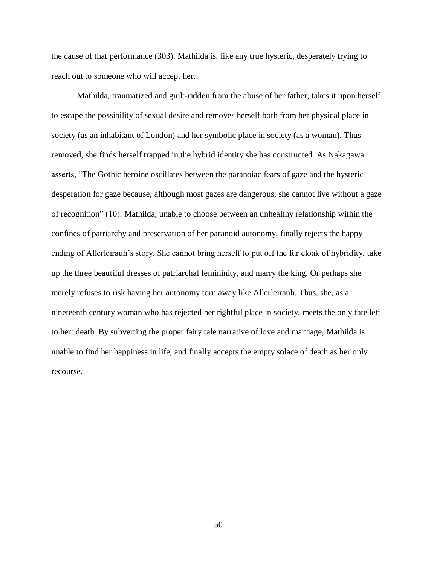the cause of that performance (303). Mathilda is, like any true hysteric, desperately trying to reach out to someone who will accept her.

Mathilda, traumatized and guilt-ridden from the abuse of her father, takes it upon herself to escape the possibility of sexual desire and removes herself both from her physical place in society (as an inhabitant of London) and her symbolic place in society (as a woman). Thus removed, she finds herself trapped in the hybrid identity she has constructed. As Nakagawa asserts, "The Gothic heroine oscillates between the paranoiac fears of gaze and the hysteric desperation for gaze because, although most gazes are dangerous, she cannot live without a gaze of recognition" (10). Mathilda, unable to choose between an unhealthy relationship within the confines of patriarchy and preservation of her paranoid autonomy, finally rejects the happy ending of Allerleirauh's story. She cannot bring herself to put off the fur cloak of hybridity, take up the three beautiful dresses of patriarchal femininity, and marry the king. Or perhaps she merely refuses to risk having her autonomy torn away like Allerleirauh. Thus, she, as a nineteenth century woman who has rejected her rightful place in society, meets the only fate left to her: death. By subverting the proper fairy tale narrative of love and marriage, Mathilda is unable to find her happiness in life, and finally accepts the empty solace of death as her only recourse.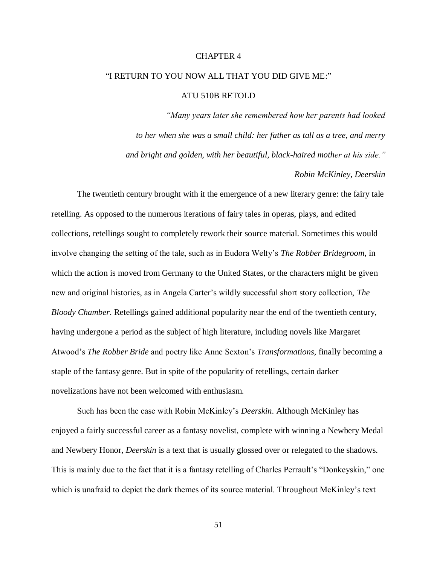### CHAPTER 4

# "I RETURN TO YOU NOW ALL THAT YOU DID GIVE ME:"

## ATU 510B RETOLD

*"Many years later she remembered how her parents had looked to her when she was a small child: her father as tall as a tree, and merry and bright and golden, with her beautiful, black-haired mother at his side."*

*Robin McKinley, Deerskin* 

The twentieth century brought with it the emergence of a new literary genre: the fairy tale retelling. As opposed to the numerous iterations of fairy tales in operas, plays, and edited collections, retellings sought to completely rework their source material. Sometimes this would involve changing the setting of the tale, such as in Eudora Welty's *The Robber Bridegroom*, in which the action is moved from Germany to the United States, or the characters might be given new and original histories, as in Angela Carter's wildly successful short story collection, *The Bloody Chamber*. Retellings gained additional popularity near the end of the twentieth century, having undergone a period as the subject of high literature, including novels like Margaret Atwood's *The Robber Bride* and poetry like Anne Sexton's *Transformations,* finally becoming a staple of the fantasy genre. But in spite of the popularity of retellings, certain darker novelizations have not been welcomed with enthusiasm.

Such has been the case with Robin McKinley's *Deerskin*. Although McKinley has enjoyed a fairly successful career as a fantasy novelist, complete with winning a Newbery Medal and Newbery Honor, *Deerskin* is a text that is usually glossed over or relegated to the shadows. This is mainly due to the fact that it is a fantasy retelling of Charles Perrault's "Donkeyskin," one which is unafraid to depict the dark themes of its source material. Throughout McKinley's text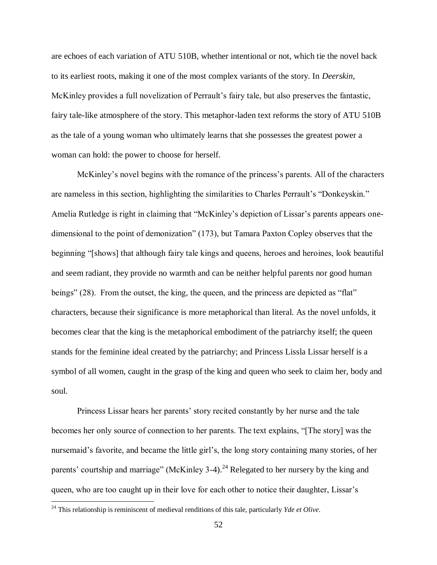are echoes of each variation of ATU 510B, whether intentional or not, which tie the novel back to its earliest roots, making it one of the most complex variants of the story. In *Deerskin,*  McKinley provides a full novelization of Perrault's fairy tale, but also preserves the fantastic, fairy tale-like atmosphere of the story. This metaphor-laden text reforms the story of ATU 510B as the tale of a young woman who ultimately learns that she possesses the greatest power a woman can hold: the power to choose for herself.

McKinley's novel begins with the romance of the princess's parents. All of the characters are nameless in this section, highlighting the similarities to Charles Perrault's "Donkeyskin." Amelia Rutledge is right in claiming that "McKinley's depiction of Lissar's parents appears onedimensional to the point of demonization" (173), but Tamara Paxton Copley observes that the beginning "[shows] that although fairy tale kings and queens, heroes and heroines, look beautiful and seem radiant, they provide no warmth and can be neither helpful parents nor good human beings" (28). From the outset, the king, the queen, and the princess are depicted as "flat" characters, because their significance is more metaphorical than literal. As the novel unfolds, it becomes clear that the king is the metaphorical embodiment of the patriarchy itself; the queen stands for the feminine ideal created by the patriarchy; and Princess Lissla Lissar herself is a symbol of all women, caught in the grasp of the king and queen who seek to claim her, body and soul.

Princess Lissar hears her parents' story recited constantly by her nurse and the tale becomes her only source of connection to her parents. The text explains, "[The story] was the nursemaid's favorite, and became the little girl's, the long story containing many stories, of her parents' courtship and marriage" (McKinley 3-4).<sup>24</sup> Relegated to her nursery by the king and queen, who are too caught up in their love for each other to notice their daughter, Lissar's

<sup>24</sup> This relationship is reminiscent of medieval renditions of this tale, particularly *Yde et Olive*.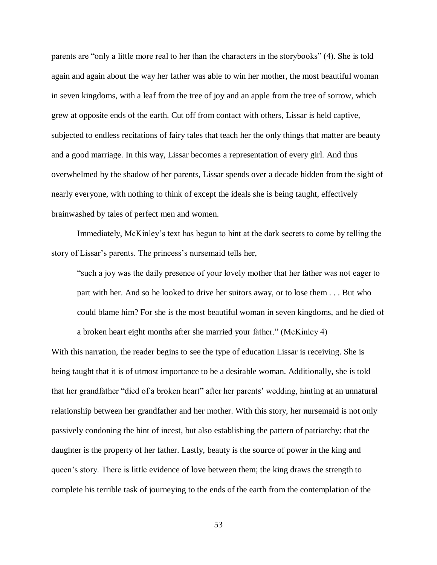parents are "only a little more real to her than the characters in the storybooks" (4). She is told again and again about the way her father was able to win her mother, the most beautiful woman in seven kingdoms, with a leaf from the tree of joy and an apple from the tree of sorrow, which grew at opposite ends of the earth. Cut off from contact with others, Lissar is held captive, subjected to endless recitations of fairy tales that teach her the only things that matter are beauty and a good marriage. In this way, Lissar becomes a representation of every girl. And thus overwhelmed by the shadow of her parents, Lissar spends over a decade hidden from the sight of nearly everyone, with nothing to think of except the ideals she is being taught, effectively brainwashed by tales of perfect men and women.

Immediately, McKinley's text has begun to hint at the dark secrets to come by telling the story of Lissar's parents. The princess's nursemaid tells her,

"such a joy was the daily presence of your lovely mother that her father was not eager to part with her. And so he looked to drive her suitors away, or to lose them . . . But who could blame him? For she is the most beautiful woman in seven kingdoms, and he died of a broken heart eight months after she married your father." (McKinley 4)

With this narration, the reader begins to see the type of education Lissar is receiving. She is being taught that it is of utmost importance to be a desirable woman. Additionally, she is told that her grandfather "died of a broken heart" after her parents' wedding, hinting at an unnatural relationship between her grandfather and her mother. With this story, her nursemaid is not only passively condoning the hint of incest, but also establishing the pattern of patriarchy: that the daughter is the property of her father. Lastly, beauty is the source of power in the king and queen's story. There is little evidence of love between them; the king draws the strength to complete his terrible task of journeying to the ends of the earth from the contemplation of the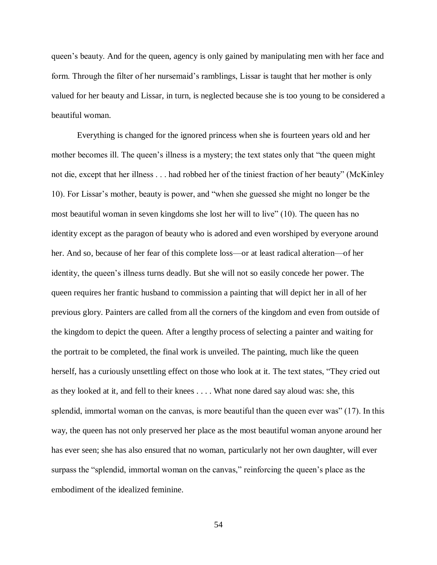queen's beauty. And for the queen, agency is only gained by manipulating men with her face and form. Through the filter of her nursemaid's ramblings, Lissar is taught that her mother is only valued for her beauty and Lissar, in turn, is neglected because she is too young to be considered a beautiful woman.

Everything is changed for the ignored princess when she is fourteen years old and her mother becomes ill. The queen's illness is a mystery; the text states only that "the queen might not die, except that her illness . . . had robbed her of the tiniest fraction of her beauty" (McKinley 10). For Lissar's mother, beauty is power, and "when she guessed she might no longer be the most beautiful woman in seven kingdoms she lost her will to live" (10). The queen has no identity except as the paragon of beauty who is adored and even worshiped by everyone around her. And so, because of her fear of this complete loss—or at least radical alteration—of her identity, the queen's illness turns deadly. But she will not so easily concede her power. The queen requires her frantic husband to commission a painting that will depict her in all of her previous glory. Painters are called from all the corners of the kingdom and even from outside of the kingdom to depict the queen. After a lengthy process of selecting a painter and waiting for the portrait to be completed, the final work is unveiled. The painting, much like the queen herself, has a curiously unsettling effect on those who look at it. The text states, "They cried out as they looked at it, and fell to their knees . . . . What none dared say aloud was: she, this splendid, immortal woman on the canvas, is more beautiful than the queen ever was" (17). In this way, the queen has not only preserved her place as the most beautiful woman anyone around her has ever seen; she has also ensured that no woman, particularly not her own daughter, will ever surpass the "splendid, immortal woman on the canvas," reinforcing the queen's place as the embodiment of the idealized feminine.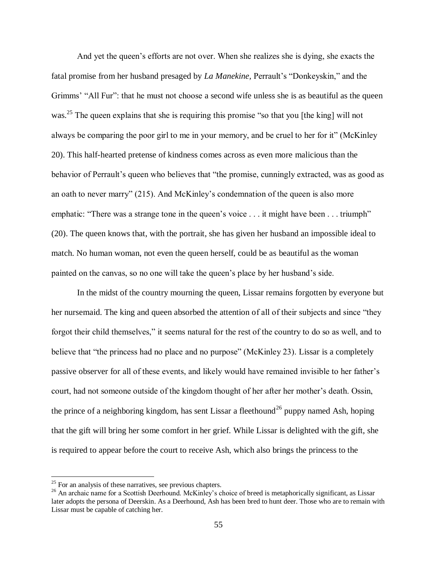And yet the queen's efforts are not over. When she realizes she is dying, she exacts the fatal promise from her husband presaged by *La Manekine,* Perrault's "Donkeyskin," and the Grimms' "All Fur": that he must not choose a second wife unless she is as beautiful as the queen was.<sup>25</sup> The queen explains that she is requiring this promise "so that you [the king] will not always be comparing the poor girl to me in your memory, and be cruel to her for it" (McKinley 20). This half-hearted pretense of kindness comes across as even more malicious than the behavior of Perrault's queen who believes that "the promise, cunningly extracted, was as good as an oath to never marry" (215). And McKinley's condemnation of the queen is also more emphatic: "There was a strange tone in the queen's voice . . . it might have been . . . triumph" (20). The queen knows that, with the portrait, she has given her husband an impossible ideal to match. No human woman, not even the queen herself, could be as beautiful as the woman painted on the canvas, so no one will take the queen's place by her husband's side.

In the midst of the country mourning the queen, Lissar remains forgotten by everyone but her nursemaid. The king and queen absorbed the attention of all of their subjects and since "they forgot their child themselves," it seems natural for the rest of the country to do so as well, and to believe that "the princess had no place and no purpose" (McKinley 23). Lissar is a completely passive observer for all of these events, and likely would have remained invisible to her father's court, had not someone outside of the kingdom thought of her after her mother's death. Ossin, the prince of a neighboring kingdom, has sent Lissar a fleethound<sup>26</sup> puppy named Ash, hoping that the gift will bring her some comfort in her grief. While Lissar is delighted with the gift, she is required to appear before the court to receive Ash, which also brings the princess to the

 $25$  For an analysis of these narratives, see previous chapters.

<sup>&</sup>lt;sup>26</sup> An archaic name for a Scottish Deerhound. McKinley's choice of breed is metaphorically significant, as Lissar later adopts the persona of Deerskin. As a Deerhound, Ash has been bred to hunt deer. Those who are to remain with Lissar must be capable of catching her.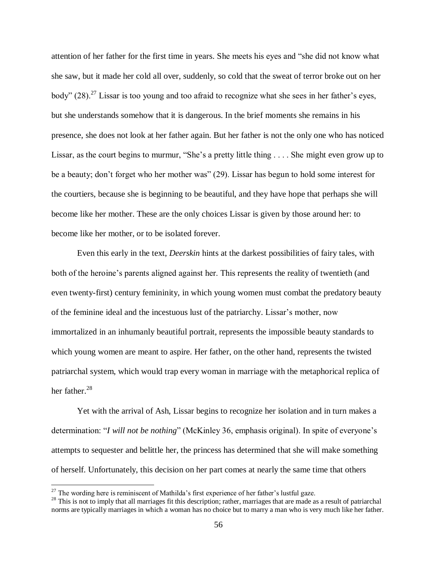attention of her father for the first time in years. She meets his eyes and "she did not know what she saw, but it made her cold all over, suddenly, so cold that the sweat of terror broke out on her body"  $(28)$ <sup>27</sup> Lissar is too young and too afraid to recognize what she sees in her father's eyes, but she understands somehow that it is dangerous. In the brief moments she remains in his presence, she does not look at her father again. But her father is not the only one who has noticed Lissar, as the court begins to murmur, "She's a pretty little thing . . . . She might even grow up to be a beauty; don't forget who her mother was" (29). Lissar has begun to hold some interest for the courtiers, because she is beginning to be beautiful, and they have hope that perhaps she will become like her mother. These are the only choices Lissar is given by those around her: to become like her mother, or to be isolated forever.

Even this early in the text, *Deerskin* hints at the darkest possibilities of fairy tales, with both of the heroine's parents aligned against her. This represents the reality of twentieth (and even twenty-first) century femininity, in which young women must combat the predatory beauty of the feminine ideal and the incestuous lust of the patriarchy. Lissar's mother, now immortalized in an inhumanly beautiful portrait, represents the impossible beauty standards to which young women are meant to aspire. Her father, on the other hand, represents the twisted patriarchal system, which would trap every woman in marriage with the metaphorical replica of her father.<sup>28</sup>

Yet with the arrival of Ash, Lissar begins to recognize her isolation and in turn makes a determination: "*I will not be nothing*" (McKinley 36, emphasis original). In spite of everyone's attempts to sequester and belittle her, the princess has determined that she will make something of herself. Unfortunately, this decision on her part comes at nearly the same time that others

 $27$  The wording here is reminiscent of Mathilda's first experience of her father's lustful gaze.

 $28$  This is not to imply that all marriages fit this description; rather, marriages that are made as a result of patriarchal norms are typically marriages in which a woman has no choice but to marry a man who is very much like her father.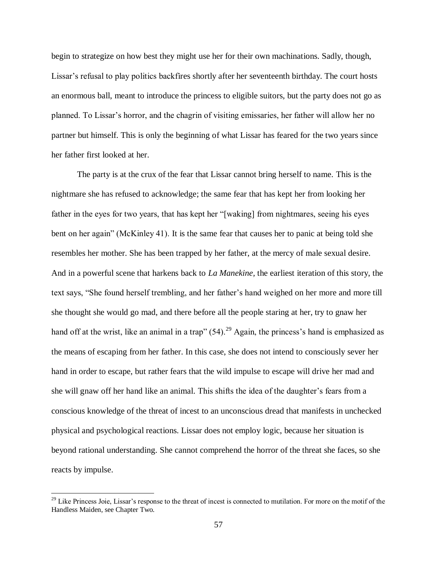begin to strategize on how best they might use her for their own machinations. Sadly, though, Lissar's refusal to play politics backfires shortly after her seventeenth birthday. The court hosts an enormous ball, meant to introduce the princess to eligible suitors, but the party does not go as planned. To Lissar's horror, and the chagrin of visiting emissaries, her father will allow her no partner but himself. This is only the beginning of what Lissar has feared for the two years since her father first looked at her.

The party is at the crux of the fear that Lissar cannot bring herself to name. This is the nightmare she has refused to acknowledge; the same fear that has kept her from looking her father in the eyes for two years, that has kept her "[waking] from nightmares, seeing his eyes bent on her again" (McKinley 41). It is the same fear that causes her to panic at being told she resembles her mother. She has been trapped by her father, at the mercy of male sexual desire. And in a powerful scene that harkens back to *La Manekine,* the earliest iteration of this story, the text says, "She found herself trembling, and her father's hand weighed on her more and more till she thought she would go mad, and there before all the people staring at her, try to gnaw her hand off at the wrist, like an animal in a trap"  $(54)$ .<sup>29</sup> Again, the princess's hand is emphasized as the means of escaping from her father. In this case, she does not intend to consciously sever her hand in order to escape, but rather fears that the wild impulse to escape will drive her mad and she will gnaw off her hand like an animal. This shifts the idea of the daughter's fears from a conscious knowledge of the threat of incest to an unconscious dread that manifests in unchecked physical and psychological reactions. Lissar does not employ logic, because her situation is beyond rational understanding. She cannot comprehend the horror of the threat she faces, so she reacts by impulse.

 $2<sup>29</sup>$  Like Princess Joie, Lissar's response to the threat of incest is connected to mutilation. For more on the motif of the Handless Maiden, see Chapter Two.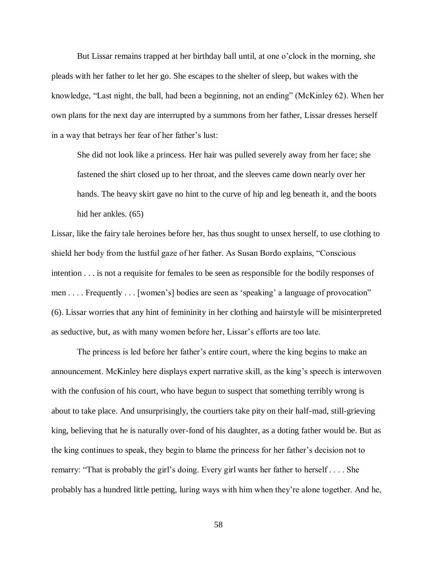But Lissar remains trapped at her birthday ball until, at one o'clock in the morning, she pleads with her father to let her go. She escapes to the shelter of sleep, but wakes with the knowledge, "Last night, the ball, had been a beginning, not an ending" (McKinley 62). When her own plans for the next day are interrupted by a summons from her father, Lissar dresses herself in a way that betrays her fear of her father's lust:

She did not look like a princess. Her hair was pulled severely away from her face; she fastened the shirt closed up to her throat, and the sleeves came down nearly over her hands. The heavy skirt gave no hint to the curve of hip and leg beneath it, and the boots hid her ankles. (65)

Lissar, like the fairy tale heroines before her, has thus sought to unsex herself, to use clothing to shield her body from the lustful gaze of her father. As Susan Bordo explains, "Conscious intention . . . is not a requisite for females to be seen as responsible for the bodily responses of men . . . . Frequently . . . [women's] bodies are seen as 'speaking' a language of provocation" (6). Lissar worries that any hint of femininity in her clothing and hairstyle will be misinterpreted as seductive, but, as with many women before her, Lissar's efforts are too late.

The princess is led before her father's entire court, where the king begins to make an announcement. McKinley here displays expert narrative skill, as the king's speech is interwoven with the confusion of his court, who have begun to suspect that something terribly wrong is about to take place. And unsurprisingly, the courtiers take pity on their half-mad, still-grieving king, believing that he is naturally over-fond of his daughter, as a doting father would be. But as the king continues to speak, they begin to blame the princess for her father's decision not to remarry: "That is probably the girl's doing. Every girl wants her father to herself . . . . She probably has a hundred little petting, luring ways with him when they're alone together. And he,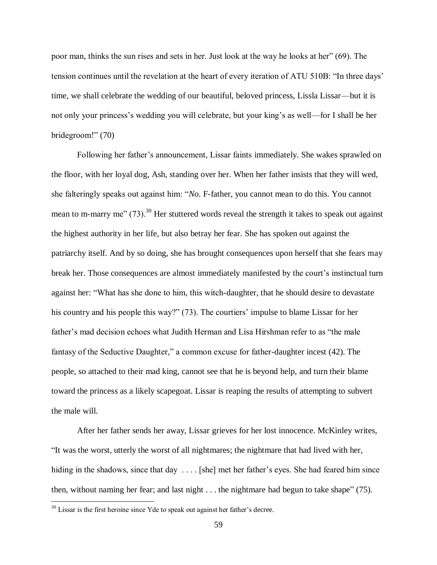poor man, thinks the sun rises and sets in her. Just look at the way he looks at her" (69). The tension continues until the revelation at the heart of every iteration of ATU 510B: "In three days' time, we shall celebrate the wedding of our beautiful, beloved princess, Lissla Lissar—but it is not only your princess's wedding you will celebrate, but your king's as well—for I shall be her bridegroom!" (70)

Following her father's announcement, Lissar faints immediately. She wakes sprawled on the floor, with her loyal dog, Ash, standing over her. When her father insists that they will wed, she falteringly speaks out against him: "*No*. F-father, you cannot mean to do this. You cannot mean to m-marry me"  $(73)$ .<sup>30</sup> Her stuttered words reveal the strength it takes to speak out against the highest authority in her life, but also betray her fear. She has spoken out against the patriarchy itself. And by so doing, she has brought consequences upon herself that she fears may break her. Those consequences are almost immediately manifested by the court's instinctual turn against her: "What has she done to him, this witch-daughter, that he should desire to devastate his country and his people this way?" (73). The courtiers' impulse to blame Lissar for her father's mad decision echoes what Judith Herman and Lisa Hirshman refer to as "the male fantasy of the Seductive Daughter," a common excuse for father-daughter incest (42). The people, so attached to their mad king, cannot see that he is beyond help, and turn their blame toward the princess as a likely scapegoat. Lissar is reaping the results of attempting to subvert the male will.

After her father sends her away, Lissar grieves for her lost innocence. McKinley writes, "It was the worst, utterly the worst of all nightmares; the nightmare that had lived with her, hiding in the shadows, since that day .... [she] met her father's eyes. She had feared him since then, without naming her fear; and last night . . . the nightmare had begun to take shape" (75).

 $30$  Lissar is the first heroine since Yde to speak out against her father's decree.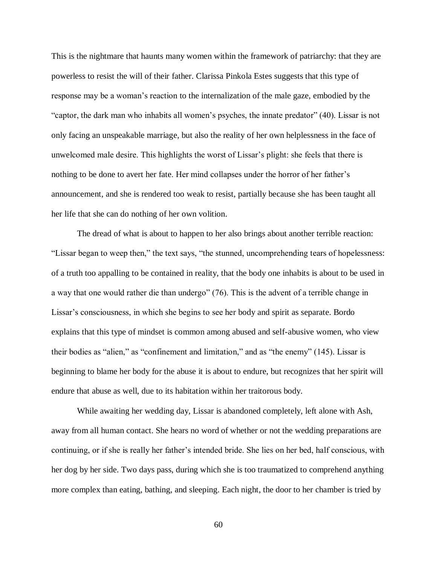This is the nightmare that haunts many women within the framework of patriarchy: that they are powerless to resist the will of their father. Clarissa Pinkola Estes suggests that this type of response may be a woman's reaction to the internalization of the male gaze, embodied by the "captor, the dark man who inhabits all women's psyches, the innate predator" (40). Lissar is not only facing an unspeakable marriage, but also the reality of her own helplessness in the face of unwelcomed male desire. This highlights the worst of Lissar's plight: she feels that there is nothing to be done to avert her fate. Her mind collapses under the horror of her father's announcement, and she is rendered too weak to resist, partially because she has been taught all her life that she can do nothing of her own volition.

The dread of what is about to happen to her also brings about another terrible reaction: "Lissar began to weep then," the text says, "the stunned, uncomprehending tears of hopelessness: of a truth too appalling to be contained in reality, that the body one inhabits is about to be used in a way that one would rather die than undergo" (76). This is the advent of a terrible change in Lissar's consciousness, in which she begins to see her body and spirit as separate. Bordo explains that this type of mindset is common among abused and self-abusive women, who view their bodies as "alien," as "confinement and limitation," and as "the enemy" (145). Lissar is beginning to blame her body for the abuse it is about to endure, but recognizes that her spirit will endure that abuse as well, due to its habitation within her traitorous body.

While awaiting her wedding day, Lissar is abandoned completely, left alone with Ash, away from all human contact. She hears no word of whether or not the wedding preparations are continuing, or if she is really her father's intended bride. She lies on her bed, half conscious, with her dog by her side. Two days pass, during which she is too traumatized to comprehend anything more complex than eating, bathing, and sleeping. Each night, the door to her chamber is tried by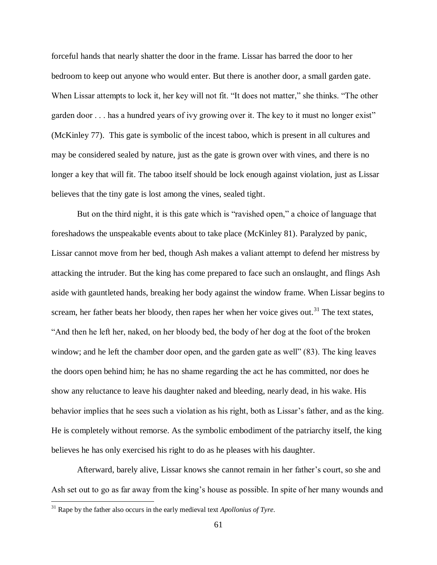forceful hands that nearly shatter the door in the frame. Lissar has barred the door to her bedroom to keep out anyone who would enter. But there is another door, a small garden gate. When Lissar attempts to lock it, her key will not fit. "It does not matter," she thinks. "The other garden door . . . has a hundred years of ivy growing over it. The key to it must no longer exist" (McKinley 77). This gate is symbolic of the incest taboo, which is present in all cultures and may be considered sealed by nature, just as the gate is grown over with vines, and there is no longer a key that will fit. The taboo itself should be lock enough against violation, just as Lissar believes that the tiny gate is lost among the vines, sealed tight.

But on the third night, it is this gate which is "ravished open," a choice of language that foreshadows the unspeakable events about to take place (McKinley 81). Paralyzed by panic, Lissar cannot move from her bed, though Ash makes a valiant attempt to defend her mistress by attacking the intruder. But the king has come prepared to face such an onslaught, and flings Ash aside with gauntleted hands, breaking her body against the window frame. When Lissar begins to scream, her father beats her bloody, then rapes her when her voice gives out.<sup>31</sup> The text states, "And then he left her, naked, on her bloody bed, the body of her dog at the foot of the broken window; and he left the chamber door open, and the garden gate as well" (83). The king leaves the doors open behind him; he has no shame regarding the act he has committed, nor does he show any reluctance to leave his daughter naked and bleeding, nearly dead, in his wake. His behavior implies that he sees such a violation as his right, both as Lissar's father, and as the king. He is completely without remorse. As the symbolic embodiment of the patriarchy itself, the king believes he has only exercised his right to do as he pleases with his daughter.

Afterward, barely alive, Lissar knows she cannot remain in her father's court, so she and Ash set out to go as far away from the king's house as possible. In spite of her many wounds and

<sup>31</sup> Rape by the father also occurs in the early medieval text *Apollonius of Tyre*.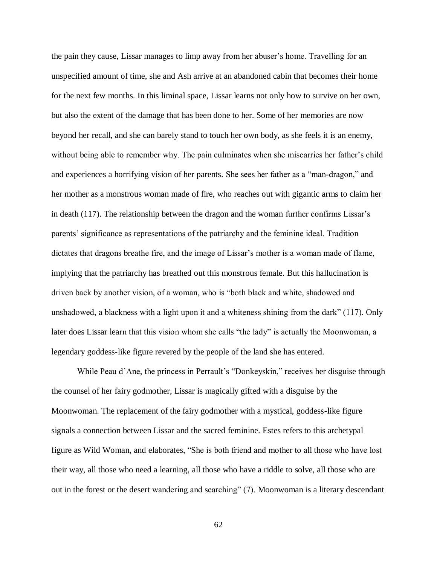the pain they cause, Lissar manages to limp away from her abuser's home. Travelling for an unspecified amount of time, she and Ash arrive at an abandoned cabin that becomes their home for the next few months. In this liminal space, Lissar learns not only how to survive on her own, but also the extent of the damage that has been done to her. Some of her memories are now beyond her recall, and she can barely stand to touch her own body, as she feels it is an enemy, without being able to remember why. The pain culminates when she miscarries her father's child and experiences a horrifying vision of her parents. She sees her father as a "man-dragon," and her mother as a monstrous woman made of fire, who reaches out with gigantic arms to claim her in death (117). The relationship between the dragon and the woman further confirms Lissar's parents' significance as representations of the patriarchy and the feminine ideal. Tradition dictates that dragons breathe fire, and the image of Lissar's mother is a woman made of flame, implying that the patriarchy has breathed out this monstrous female. But this hallucination is driven back by another vision, of a woman, who is "both black and white, shadowed and unshadowed, a blackness with a light upon it and a whiteness shining from the dark" (117). Only later does Lissar learn that this vision whom she calls "the lady" is actually the Moonwoman, a legendary goddess-like figure revered by the people of the land she has entered.

While Peau d'Ane, the princess in Perrault's "Donkeyskin," receives her disguise through the counsel of her fairy godmother, Lissar is magically gifted with a disguise by the Moonwoman. The replacement of the fairy godmother with a mystical, goddess-like figure signals a connection between Lissar and the sacred feminine. Estes refers to this archetypal figure as Wild Woman, and elaborates, "She is both friend and mother to all those who have lost their way, all those who need a learning, all those who have a riddle to solve, all those who are out in the forest or the desert wandering and searching" (7). Moonwoman is a literary descendant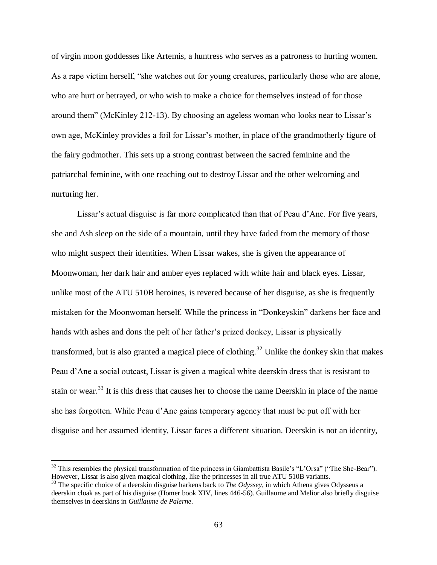of virgin moon goddesses like Artemis, a huntress who serves as a patroness to hurting women. As a rape victim herself, "she watches out for young creatures, particularly those who are alone, who are hurt or betrayed, or who wish to make a choice for themselves instead of for those around them" (McKinley 212-13). By choosing an ageless woman who looks near to Lissar's own age, McKinley provides a foil for Lissar's mother, in place of the grandmotherly figure of the fairy godmother. This sets up a strong contrast between the sacred feminine and the patriarchal feminine, with one reaching out to destroy Lissar and the other welcoming and nurturing her.

Lissar's actual disguise is far more complicated than that of Peau d'Ane. For five years, she and Ash sleep on the side of a mountain, until they have faded from the memory of those who might suspect their identities. When Lissar wakes, she is given the appearance of Moonwoman, her dark hair and amber eyes replaced with white hair and black eyes. Lissar, unlike most of the ATU 510B heroines, is revered because of her disguise, as she is frequently mistaken for the Moonwoman herself. While the princess in "Donkeyskin" darkens her face and hands with ashes and dons the pelt of her father's prized donkey, Lissar is physically transformed, but is also granted a magical piece of clothing.<sup>32</sup> Unlike the donkey skin that makes Peau d'Ane a social outcast, Lissar is given a magical white deerskin dress that is resistant to stain or wear.<sup>33</sup> It is this dress that causes her to choose the name Deerskin in place of the name she has forgotten. While Peau d'Ane gains temporary agency that must be put off with her disguise and her assumed identity, Lissar faces a different situation. Deerskin is not an identity,

 $32$  This resembles the physical transformation of the princess in Giambattista Basile's "L'Orsa" ("The She-Bear"). However, Lissar is also given magical clothing, like the princesses in all true ATU 510B variants.

<sup>33</sup> The specific choice of a deerskin disguise harkens back to *The Odyssey*, in which Athena gives Odysseus a deerskin cloak as part of his disguise (Homer book XIV, lines 446-56). Guillaume and Melior also briefly disguise themselves in deerskins in *Guillaume de Palerne*.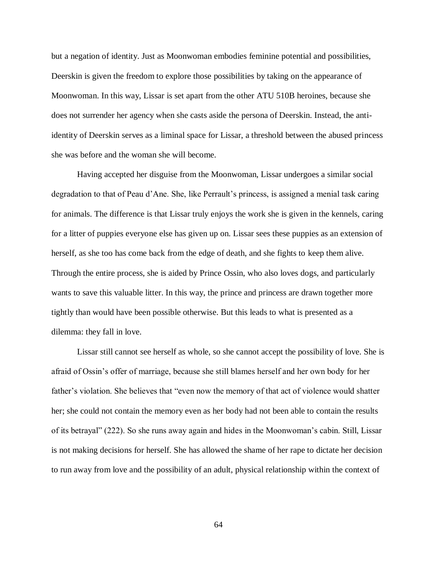but a negation of identity. Just as Moonwoman embodies feminine potential and possibilities, Deerskin is given the freedom to explore those possibilities by taking on the appearance of Moonwoman. In this way, Lissar is set apart from the other ATU 510B heroines, because she does not surrender her agency when she casts aside the persona of Deerskin. Instead, the antiidentity of Deerskin serves as a liminal space for Lissar, a threshold between the abused princess she was before and the woman she will become.

Having accepted her disguise from the Moonwoman, Lissar undergoes a similar social degradation to that of Peau d'Ane. She, like Perrault's princess, is assigned a menial task caring for animals. The difference is that Lissar truly enjoys the work she is given in the kennels, caring for a litter of puppies everyone else has given up on. Lissar sees these puppies as an extension of herself, as she too has come back from the edge of death, and she fights to keep them alive. Through the entire process, she is aided by Prince Ossin, who also loves dogs, and particularly wants to save this valuable litter. In this way, the prince and princess are drawn together more tightly than would have been possible otherwise. But this leads to what is presented as a dilemma: they fall in love.

Lissar still cannot see herself as whole, so she cannot accept the possibility of love. She is afraid of Ossin's offer of marriage, because she still blames herself and her own body for her father's violation. She believes that "even now the memory of that act of violence would shatter her; she could not contain the memory even as her body had not been able to contain the results of its betrayal" (222). So she runs away again and hides in the Moonwoman's cabin. Still, Lissar is not making decisions for herself. She has allowed the shame of her rape to dictate her decision to run away from love and the possibility of an adult, physical relationship within the context of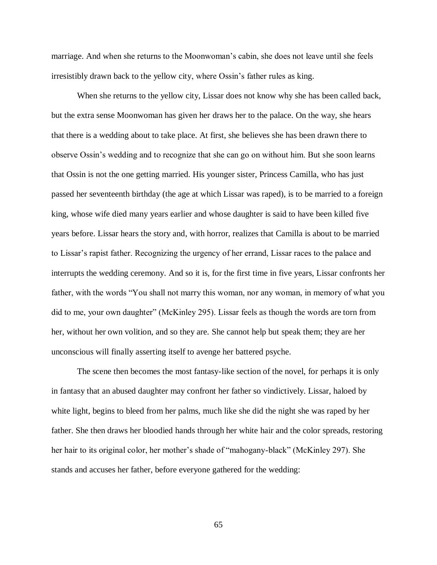marriage. And when she returns to the Moonwoman's cabin, she does not leave until she feels irresistibly drawn back to the yellow city, where Ossin's father rules as king.

When she returns to the yellow city, Lissar does not know why she has been called back, but the extra sense Moonwoman has given her draws her to the palace. On the way, she hears that there is a wedding about to take place. At first, she believes she has been drawn there to observe Ossin's wedding and to recognize that she can go on without him. But she soon learns that Ossin is not the one getting married. His younger sister, Princess Camilla, who has just passed her seventeenth birthday (the age at which Lissar was raped), is to be married to a foreign king, whose wife died many years earlier and whose daughter is said to have been killed five years before. Lissar hears the story and, with horror, realizes that Camilla is about to be married to Lissar's rapist father. Recognizing the urgency of her errand, Lissar races to the palace and interrupts the wedding ceremony. And so it is, for the first time in five years, Lissar confronts her father, with the words "You shall not marry this woman, nor any woman, in memory of what you did to me, your own daughter" (McKinley 295). Lissar feels as though the words are torn from her, without her own volition, and so they are. She cannot help but speak them; they are her unconscious will finally asserting itself to avenge her battered psyche.

The scene then becomes the most fantasy-like section of the novel, for perhaps it is only in fantasy that an abused daughter may confront her father so vindictively. Lissar, haloed by white light, begins to bleed from her palms, much like she did the night she was raped by her father. She then draws her bloodied hands through her white hair and the color spreads, restoring her hair to its original color, her mother's shade of "mahogany-black" (McKinley 297). She stands and accuses her father, before everyone gathered for the wedding: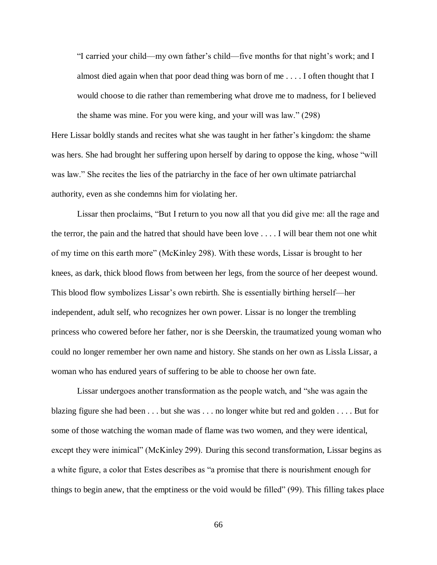"I carried your child—my own father's child—five months for that night's work; and I almost died again when that poor dead thing was born of me . . . . I often thought that I would choose to die rather than remembering what drove me to madness, for I believed the shame was mine. For you were king, and your will was law." (298)

Here Lissar boldly stands and recites what she was taught in her father's kingdom: the shame was hers. She had brought her suffering upon herself by daring to oppose the king, whose "will was law." She recites the lies of the patriarchy in the face of her own ultimate patriarchal authority, even as she condemns him for violating her.

Lissar then proclaims, "But I return to you now all that you did give me: all the rage and the terror, the pain and the hatred that should have been love . . . . I will bear them not one whit of my time on this earth more" (McKinley 298). With these words, Lissar is brought to her knees, as dark, thick blood flows from between her legs, from the source of her deepest wound. This blood flow symbolizes Lissar's own rebirth. She is essentially birthing herself—her independent, adult self, who recognizes her own power. Lissar is no longer the trembling princess who cowered before her father, nor is she Deerskin, the traumatized young woman who could no longer remember her own name and history. She stands on her own as Lissla Lissar, a woman who has endured years of suffering to be able to choose her own fate.

Lissar undergoes another transformation as the people watch, and "she was again the blazing figure she had been . . . but she was . . . no longer white but red and golden . . . . But for some of those watching the woman made of flame was two women, and they were identical, except they were inimical" (McKinley 299). During this second transformation, Lissar begins as a white figure, a color that Estes describes as "a promise that there is nourishment enough for things to begin anew, that the emptiness or the void would be filled" (99). This filling takes place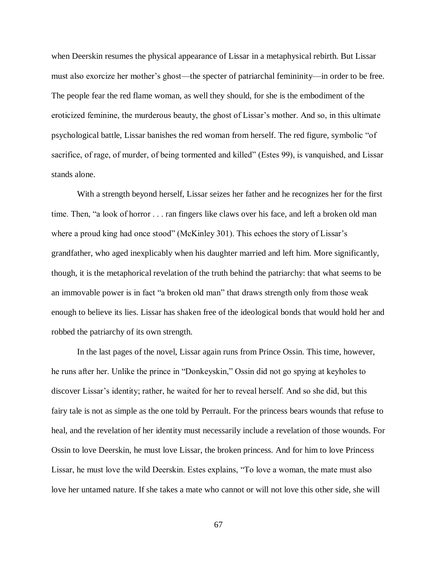when Deerskin resumes the physical appearance of Lissar in a metaphysical rebirth. But Lissar must also exorcize her mother's ghost—the specter of patriarchal femininity—in order to be free. The people fear the red flame woman, as well they should, for she is the embodiment of the eroticized feminine, the murderous beauty, the ghost of Lissar's mother. And so, in this ultimate psychological battle, Lissar banishes the red woman from herself. The red figure, symbolic "of sacrifice, of rage, of murder, of being tormented and killed" (Estes 99), is vanquished, and Lissar stands alone.

With a strength beyond herself, Lissar seizes her father and he recognizes her for the first time. Then, "a look of horror . . . ran fingers like claws over his face, and left a broken old man where a proud king had once stood" (McKinley 301). This echoes the story of Lissar's grandfather, who aged inexplicably when his daughter married and left him. More significantly, though, it is the metaphorical revelation of the truth behind the patriarchy: that what seems to be an immovable power is in fact "a broken old man" that draws strength only from those weak enough to believe its lies. Lissar has shaken free of the ideological bonds that would hold her and robbed the patriarchy of its own strength.

In the last pages of the novel, Lissar again runs from Prince Ossin. This time, however, he runs after her. Unlike the prince in "Donkeyskin," Ossin did not go spying at keyholes to discover Lissar's identity; rather, he waited for her to reveal herself. And so she did, but this fairy tale is not as simple as the one told by Perrault. For the princess bears wounds that refuse to heal, and the revelation of her identity must necessarily include a revelation of those wounds. For Ossin to love Deerskin, he must love Lissar, the broken princess. And for him to love Princess Lissar, he must love the wild Deerskin. Estes explains, "To love a woman, the mate must also love her untamed nature. If she takes a mate who cannot or will not love this other side, she will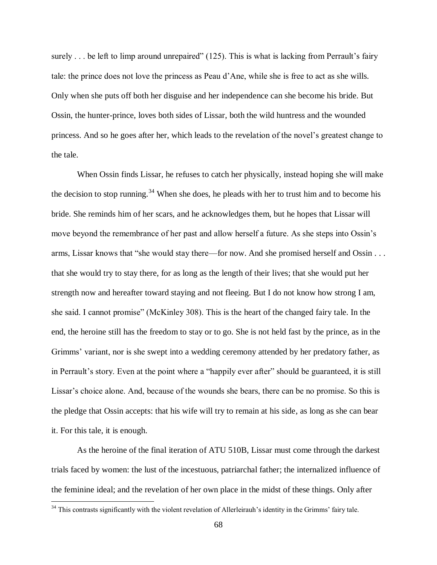surely . . . be left to limp around unrepaired" (125). This is what is lacking from Perrault's fairy tale: the prince does not love the princess as Peau d'Ane, while she is free to act as she wills. Only when she puts off both her disguise and her independence can she become his bride. But Ossin, the hunter-prince, loves both sides of Lissar, both the wild huntress and the wounded princess. And so he goes after her, which leads to the revelation of the novel's greatest change to the tale.

When Ossin finds Lissar, he refuses to catch her physically, instead hoping she will make the decision to stop running.<sup>34</sup> When she does, he pleads with her to trust him and to become his bride. She reminds him of her scars, and he acknowledges them, but he hopes that Lissar will move beyond the remembrance of her past and allow herself a future. As she steps into Ossin's arms, Lissar knows that "she would stay there—for now. And she promised herself and Ossin . . . that she would try to stay there, for as long as the length of their lives; that she would put her strength now and hereafter toward staying and not fleeing. But I do not know how strong I am, she said. I cannot promise" (McKinley 308). This is the heart of the changed fairy tale. In the end, the heroine still has the freedom to stay or to go. She is not held fast by the prince, as in the Grimms' variant, nor is she swept into a wedding ceremony attended by her predatory father, as in Perrault's story. Even at the point where a "happily ever after" should be guaranteed, it is still Lissar's choice alone. And, because of the wounds she bears, there can be no promise. So this is the pledge that Ossin accepts: that his wife will try to remain at his side, as long as she can bear it. For this tale, it is enough.

As the heroine of the final iteration of ATU 510B, Lissar must come through the darkest trials faced by women: the lust of the incestuous, patriarchal father; the internalized influence of the feminine ideal; and the revelation of her own place in the midst of these things. Only after

<sup>&</sup>lt;sup>34</sup> This contrasts significantly with the violent revelation of Allerleirauh's identity in the Grimms' fairy tale.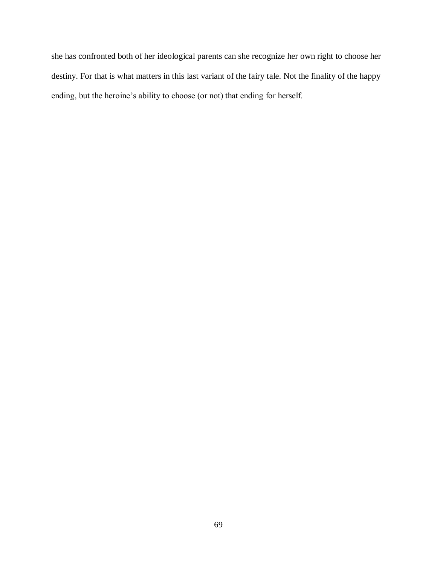she has confronted both of her ideological parents can she recognize her own right to choose her destiny. For that is what matters in this last variant of the fairy tale. Not the finality of the happy ending, but the heroine's ability to choose (or not) that ending for herself.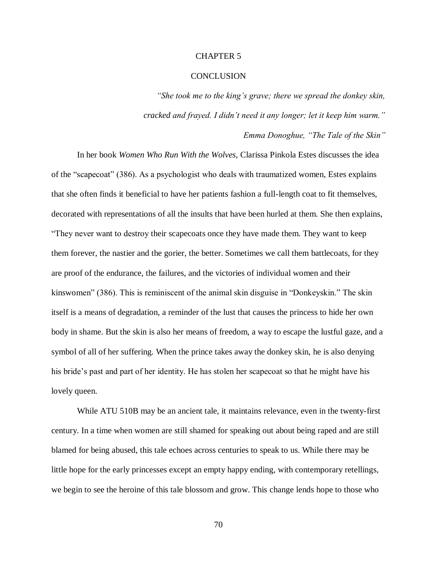### CHAPTER 5

### **CONCLUSION**

*"She took me to the king's grave; there we spread the donkey skin, cracked and frayed. I didn't need it any longer; let it keep him warm."*

*Emma Donoghue, "The Tale of the Skin"*

In her book *Women Who Run With the Wolves,* Clarissa Pinkola Estes discusses the idea of the "scapecoat" (386). As a psychologist who deals with traumatized women, Estes explains that she often finds it beneficial to have her patients fashion a full-length coat to fit themselves, decorated with representations of all the insults that have been hurled at them. She then explains, "They never want to destroy their scapecoats once they have made them. They want to keep them forever, the nastier and the gorier, the better. Sometimes we call them battlecoats, for they are proof of the endurance, the failures, and the victories of individual women and their kinswomen" (386). This is reminiscent of the animal skin disguise in "Donkeyskin." The skin itself is a means of degradation, a reminder of the lust that causes the princess to hide her own body in shame. But the skin is also her means of freedom, a way to escape the lustful gaze, and a symbol of all of her suffering. When the prince takes away the donkey skin, he is also denying his bride's past and part of her identity. He has stolen her scapecoat so that he might have his lovely queen.

While ATU 510B may be an ancient tale, it maintains relevance, even in the twenty-first century. In a time when women are still shamed for speaking out about being raped and are still blamed for being abused, this tale echoes across centuries to speak to us. While there may be little hope for the early princesses except an empty happy ending, with contemporary retellings, we begin to see the heroine of this tale blossom and grow. This change lends hope to those who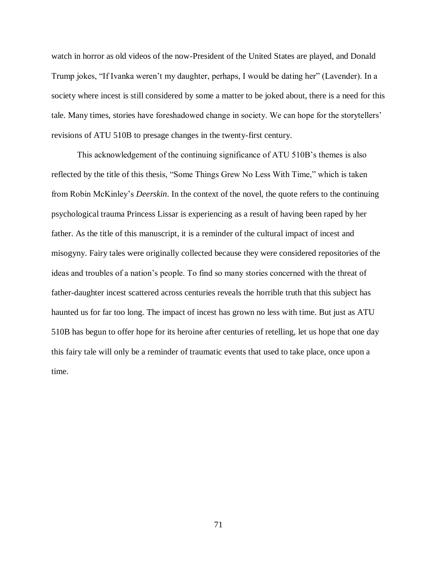watch in horror as old videos of the now-President of the United States are played, and Donald Trump jokes, "If Ivanka weren't my daughter, perhaps, I would be dating her" (Lavender). In a society where incest is still considered by some a matter to be joked about, there is a need for this tale. Many times, stories have foreshadowed change in society. We can hope for the storytellers' revisions of ATU 510B to presage changes in the twenty-first century.

This acknowledgement of the continuing significance of ATU 510B's themes is also reflected by the title of this thesis, "Some Things Grew No Less With Time," which is taken from Robin McKinley's *Deerskin*. In the context of the novel, the quote refers to the continuing psychological trauma Princess Lissar is experiencing as a result of having been raped by her father. As the title of this manuscript, it is a reminder of the cultural impact of incest and misogyny. Fairy tales were originally collected because they were considered repositories of the ideas and troubles of a nation's people. To find so many stories concerned with the threat of father-daughter incest scattered across centuries reveals the horrible truth that this subject has haunted us for far too long. The impact of incest has grown no less with time. But just as ATU 510B has begun to offer hope for its heroine after centuries of retelling, let us hope that one day this fairy tale will only be a reminder of traumatic events that used to take place, once upon a time.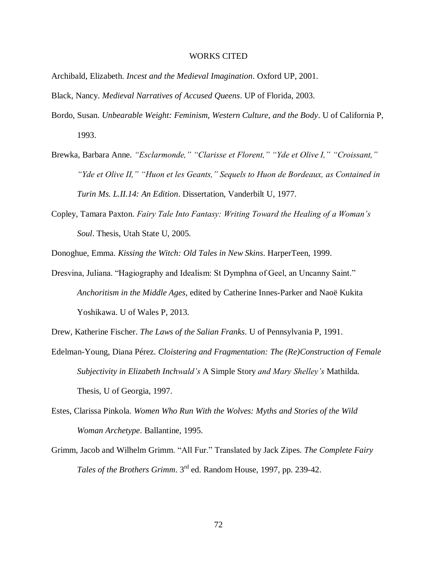## WORKS CITED

- Archibald, Elizabeth. *Incest and the Medieval Imagination*. Oxford UP, 2001.
- Black, Nancy. *Medieval Narratives of Accused Queens*. UP of Florida, 2003.
- Bordo, Susan. *Unbearable Weight: Feminism, Western Culture, and the Body*. U of California P, 1993.
- Brewka, Barbara Anne. *"Esclarmonde," "Clarisse et Florent," "Yde et Olive I," "Croissant," "Yde et Olive II," "Huon et les Geants," Sequels to Huon de Bordeaux, as Contained in Turin Ms. L.II.14: An Edition*. Dissertation, Vanderbilt U, 1977.
- Copley, Tamara Paxton. *Fairy Tale Into Fantasy: Writing Toward the Healing of a Woman's Soul*. Thesis, Utah State U, 2005.

Donoghue, Emma. *Kissing the Witch: Old Tales in New Skins*. HarperTeen, 1999.

Dresvina, Juliana. "Hagiography and Idealism: St Dymphna of Geel, an Uncanny Saint." *Anchoritism in the Middle Ages*, edited by Catherine Innes-Parker and Naoë Kukita Yoshikawa. U of Wales P, 2013.

Drew, Katherine Fischer. *The Laws of the Salian Franks*. U of Pennsylvania P, 1991.

- Edelman-Young, Diana Pérez. *Cloistering and Fragmentation: The (Re)Construction of Female Subjectivity in Elizabeth Inchwald's* A Simple Story *and Mary Shelley's* Mathilda*.*  Thesis, U of Georgia, 1997.
- Estes, Clarissa Pinkola. *Women Who Run With the Wolves: Myths and Stories of the Wild Woman Archetype*. Ballantine, 1995.
- Grimm, Jacob and Wilhelm Grimm. "All Fur." Translated by Jack Zipes. *The Complete Fairy Tales of the Brothers Grimm*. 3rd ed. Random House, 1997, pp. 239-42.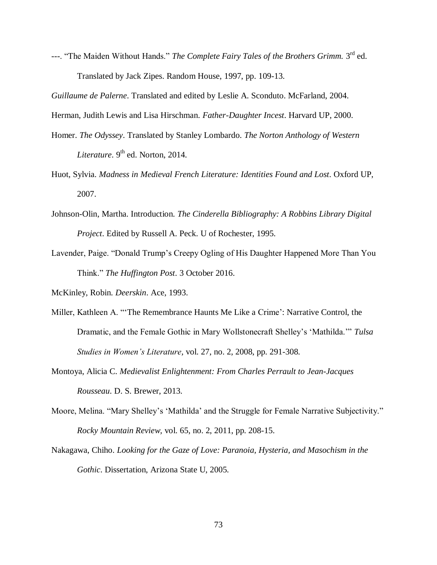---. "The Maiden Without Hands." *The Complete Fairy Tales of the Brothers Grimm*. 3<sup>rd</sup> ed. Translated by Jack Zipes. Random House, 1997, pp. 109-13.

*Guillaume de Palerne*. Translated and edited by Leslie A. Sconduto. McFarland, 2004.

Herman, Judith Lewis and Lisa Hirschman. *Father-Daughter Incest*. Harvard UP, 2000.

- Homer. *The Odyssey*. Translated by Stanley Lombardo. *The Norton Anthology of Western Literature*. 9<sup>th</sup> ed. Norton, 2014.
- Huot, Sylvia. *Madness in Medieval French Literature: Identities Found and Lost*. Oxford UP, 2007.
- Johnson-Olin, Martha. Introduction. *The Cinderella Bibliography: A Robbins Library Digital Project*. Edited by Russell A. Peck. U of Rochester, 1995.
- Lavender, Paige. "Donald Trump's Creepy Ogling of His Daughter Happened More Than You Think." *The Huffington Post*. 3 October 2016.
- McKinley, Robin. *Deerskin*. Ace, 1993.
- Miller, Kathleen A. "'The Remembrance Haunts Me Like a Crime': Narrative Control, the Dramatic, and the Female Gothic in Mary Wollstonecraft Shelley's 'Mathilda.'" *Tulsa Studies in Women's Literature,* vol. 27, no. 2, 2008, pp. 291-308.
- Montoya, Alicia C. *Medievalist Enlightenment: From Charles Perrault to Jean-Jacques Rousseau*. D. S. Brewer, 2013.
- Moore, Melina. "Mary Shelley's 'Mathilda' and the Struggle for Female Narrative Subjectivity." *Rocky Mountain Review,* vol. 65, no. 2, 2011, pp. 208-15.
- Nakagawa, Chiho. *Looking for the Gaze of Love: Paranoia, Hysteria, and Masochism in the Gothic*. Dissertation, Arizona State U, 2005.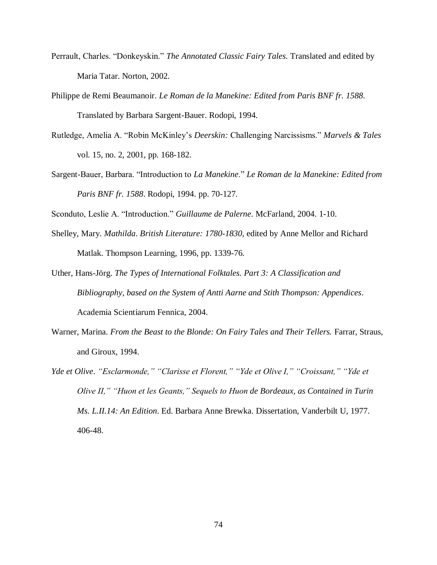- Perrault, Charles. "Donkeyskin." *The Annotated Classic Fairy Tales*. Translated and edited by Maria Tatar. Norton, 2002.
- Philippe de Remi Beaumanoir. *Le Roman de la Manekine: Edited from Paris BNF fr. 1588*. Translated by Barbara Sargent-Bauer. Rodopi, 1994.
- Rutledge, Amelia A. "Robin McKinley's *Deerskin:* Challenging Narcissisms." *Marvels & Tales*  vol. 15, no. 2, 2001, pp. 168-182.
- Sargent-Bauer, Barbara. "Introduction to *La Manekine*." *Le Roman de la Manekine: Edited from Paris BNF fr. 1588*. Rodopi, 1994. pp. 70-127.
- Sconduto, Leslie A. "Introduction." *Guillaume de Palerne*. McFarland, 2004. 1-10.
- Shelley, Mary. *Mathilda*. *British Literature: 1780-1830*, edited by Anne Mellor and Richard Matlak. Thompson Learning, 1996, pp. 1339-76.
- Uther, Hans-Jörg. *The Types of International Folktales. Part 3: A Classification and Bibliography, based on the System of Antti Aarne and Stith Thompson: Appendices*. Academia Scientiarum Fennica, 2004.
- Warner, Marina. *From the Beast to the Blonde: On Fairy Tales and Their Tellers.* Farrar, Straus, and Giroux, 1994.
- *Yde et Olive*. *"Esclarmonde," "Clarisse et Florent," "Yde et Olive I," "Croissant," "Yde et Olive II," "Huon et les Geants," Sequels to Huon de Bordeaux, as Contained in Turin Ms. L.II.14: An Edition*. Ed. Barbara Anne Brewka. Dissertation, Vanderbilt U, 1977. 406-48.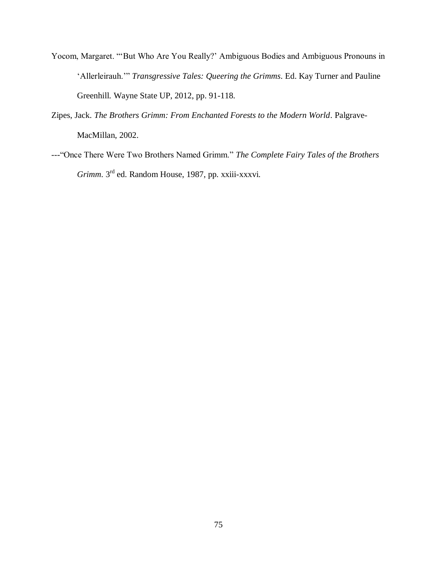- Yocom, Margaret. "'But Who Are You Really?' Ambiguous Bodies and Ambiguous Pronouns in 'Allerleirauh.'" *Transgressive Tales: Queering the Grimms*. Ed. Kay Turner and Pauline Greenhill. Wayne State UP, 2012, pp. 91-118.
- Zipes, Jack. *The Brothers Grimm: From Enchanted Forests to the Modern World*. Palgrave-MacMillan, 2002.
- ---"Once There Were Two Brothers Named Grimm." *The Complete Fairy Tales of the Brothers Grimm*. 3rd ed. Random House, 1987, pp. xxiii-xxxvi.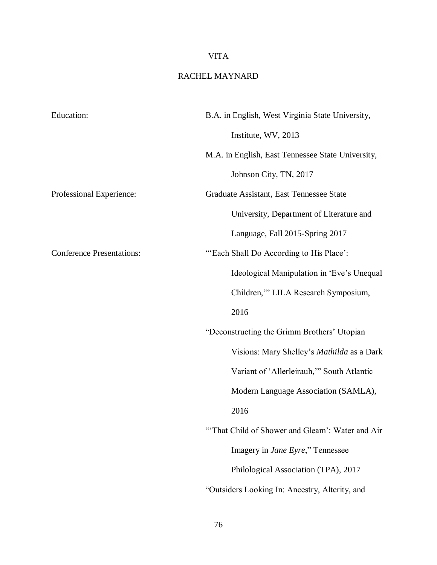## VITA

## RACHEL MAYNARD

| <b>Education:</b>                | B.A. in English, West Virginia State University,  |
|----------------------------------|---------------------------------------------------|
|                                  | Institute, WV, 2013                               |
|                                  | M.A. in English, East Tennessee State University, |
|                                  | Johnson City, TN, 2017                            |
| Professional Experience:         | Graduate Assistant, East Tennessee State          |
|                                  | University, Department of Literature and          |
|                                  | Language, Fall 2015-Spring 2017                   |
| <b>Conference Presentations:</b> | "'Each Shall Do According to His Place':          |
|                                  | Ideological Manipulation in 'Eve's Unequal        |
|                                  | Children," LILA Research Symposium,               |
|                                  | 2016                                              |
|                                  | "Deconstructing the Grimm Brothers' Utopian       |
|                                  | Visions: Mary Shelley's Mathilda as a Dark        |
|                                  | Variant of 'Allerleirauh," South Atlantic         |
|                                  | Modern Language Association (SAMLA),              |
|                                  | 2016                                              |
|                                  | "That Child of Shower and Gleam': Water and Air   |
|                                  | Imagery in Jane Eyre," Tennessee                  |
|                                  | Philological Association (TPA), 2017              |
|                                  | "Outsiders Looking In: Ancestry, Alterity, and    |